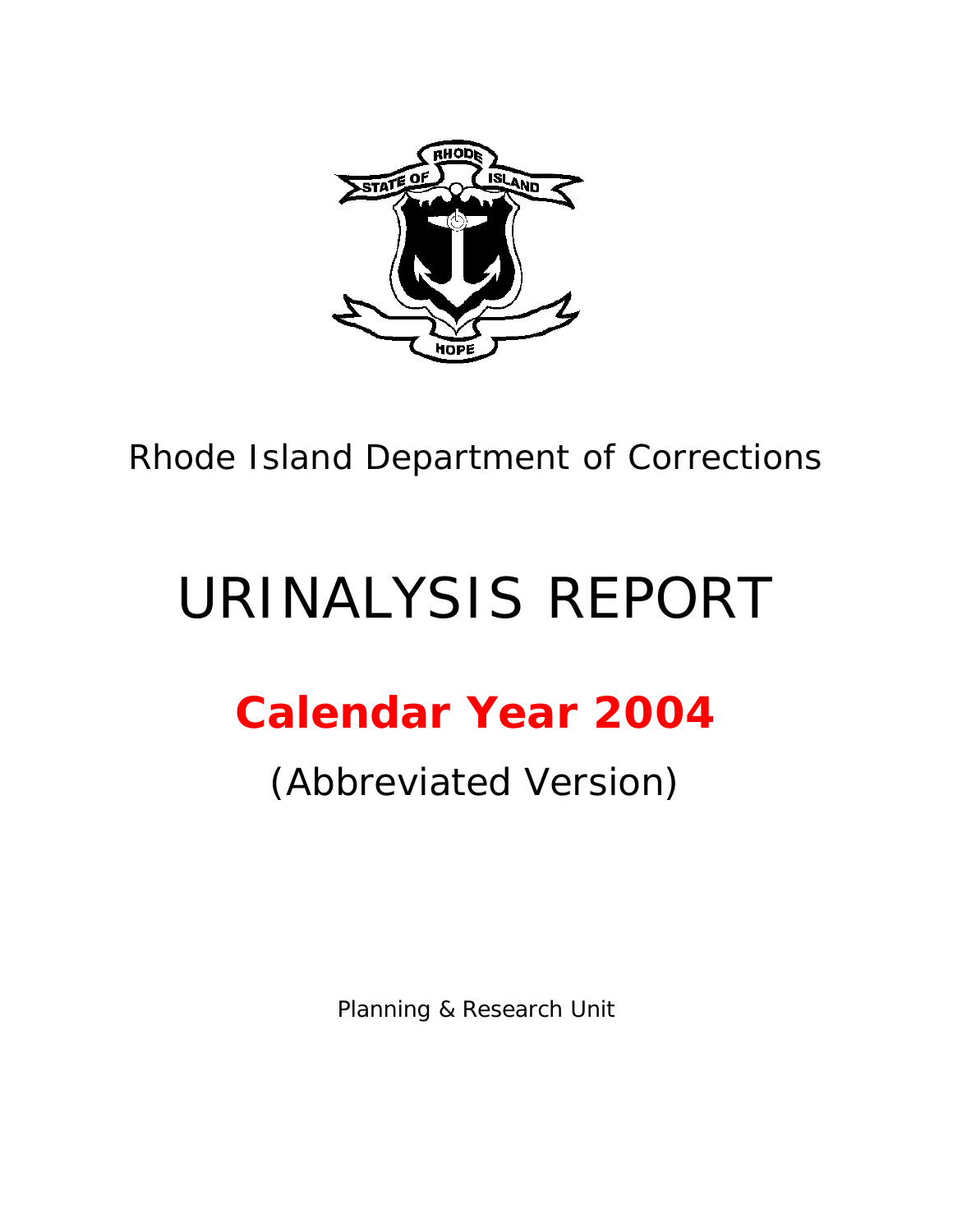

Rhode Island Department of Corrections

# URINALYSIS REPORT

# **Calendar Year 2004**

## (Abbreviated Version)

Planning & Research Unit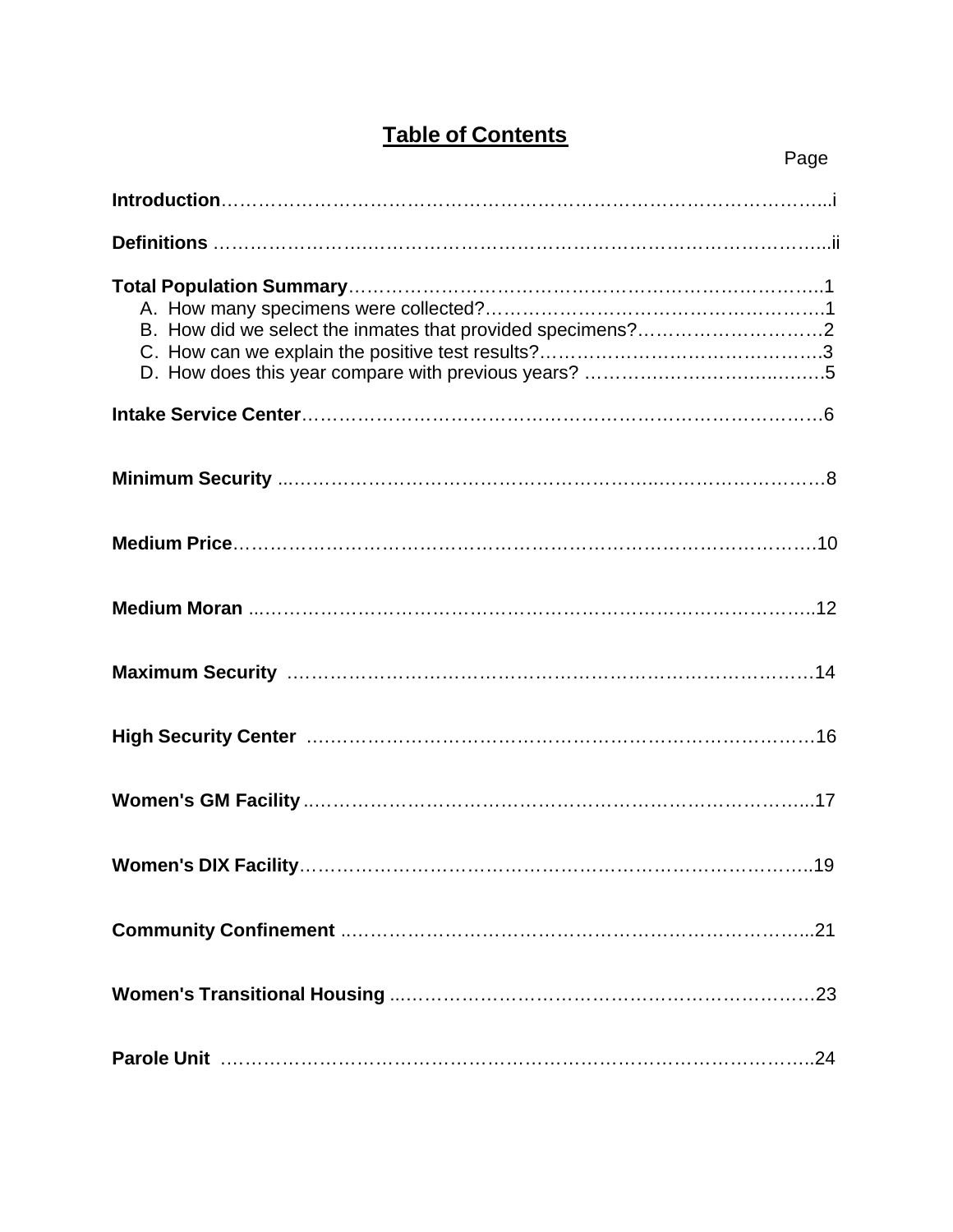### **Table of Contents**

| Page |
|------|
|      |
|      |
|      |
|      |
|      |
|      |
|      |
|      |
|      |
|      |
|      |
|      |
|      |
|      |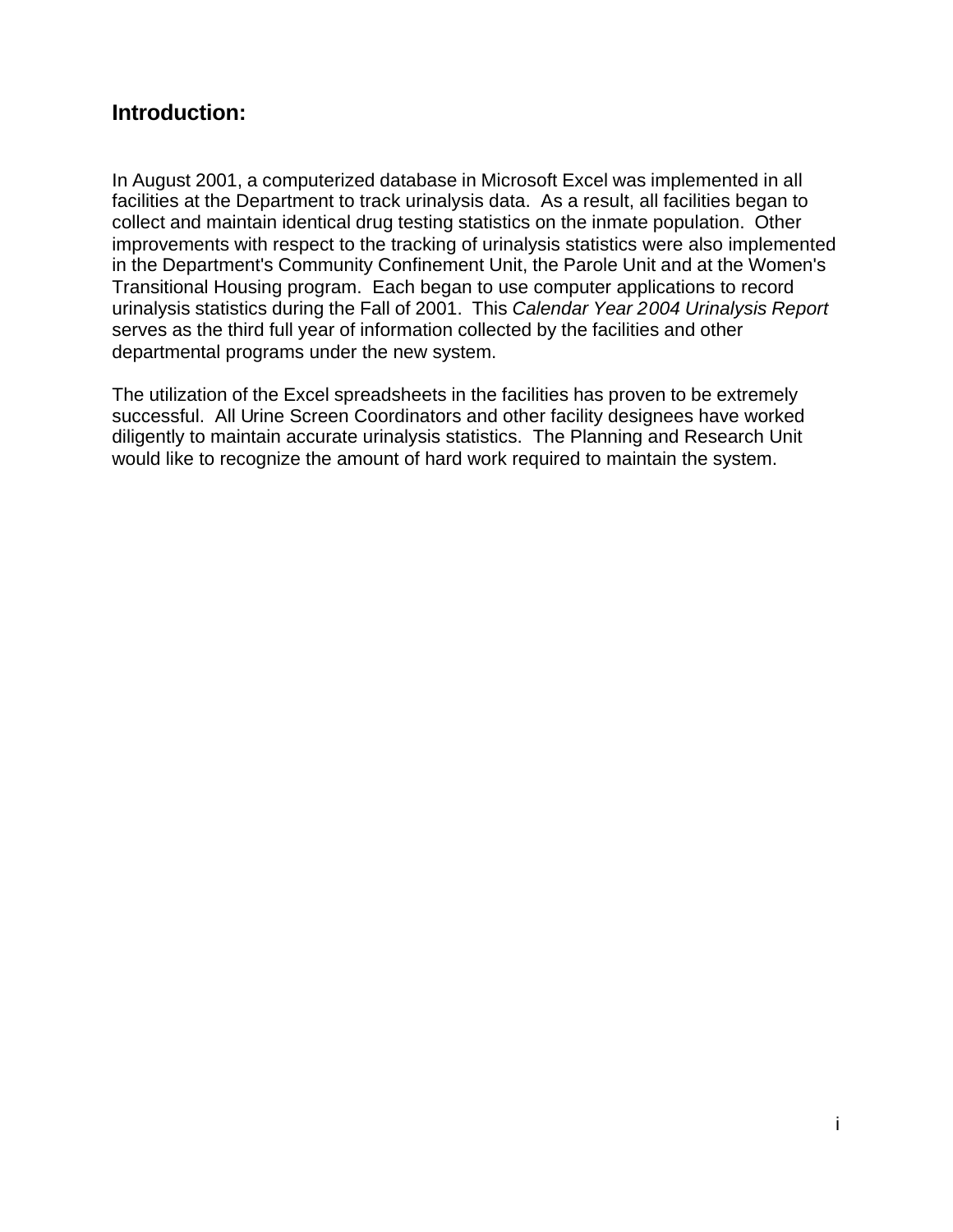### **Introduction:**

In August 2001, a computerized database in Microsoft Excel was implemented in all facilities at the Department to track urinalysis data. As a result, all facilities began to collect and maintain identical drug testing statistics on the inmate population. Other improvements with respect to the tracking of urinalysis statistics were also implemented in the Department's Community Confinement Unit, the Parole Unit and at the Women's Transitional Housing program. Each began to use computer applications to record urinalysis statistics during the Fall of 2001. This *Calendar Year 2004 Urinalysis Report* serves as the third full year of information collected by the facilities and other departmental programs under the new system.

The utilization of the Excel spreadsheets in the facilities has proven to be extremely successful. All Urine Screen Coordinators and other facility designees have worked diligently to maintain accurate urinalysis statistics. The Planning and Research Unit would like to recognize the amount of hard work required to maintain the system.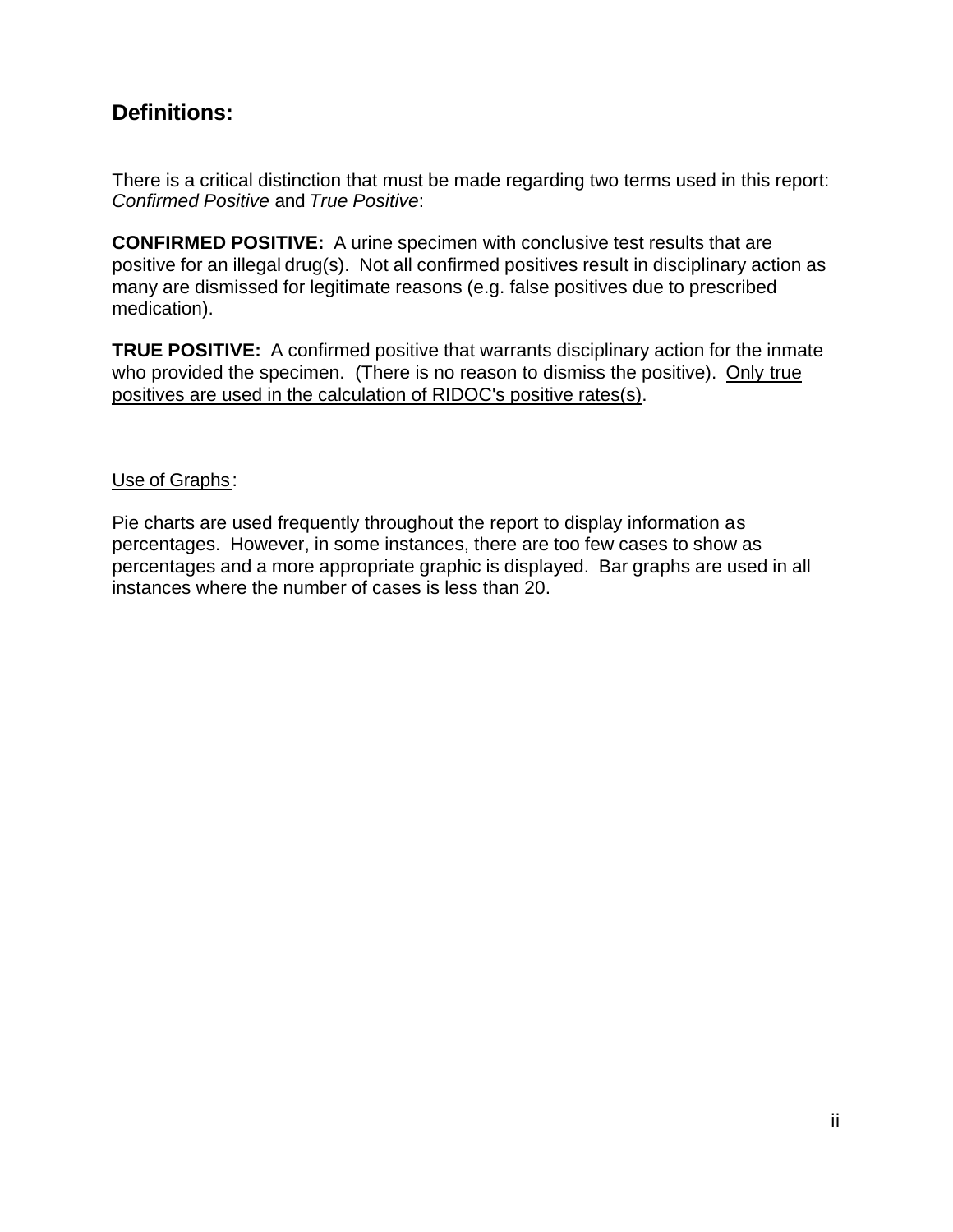### **Definitions:**

There is a critical distinction that must be made regarding two terms used in this report: *Confirmed Positive* and *True Positive*:

**CONFIRMED POSITIVE:** A urine specimen with conclusive test results that are positive for an illegal drug(s). Not all confirmed positives result in disciplinary action as many are dismissed for legitimate reasons (e.g. false positives due to prescribed medication).

**TRUE POSITIVE:** A confirmed positive that warrants disciplinary action for the inmate who provided the specimen. (There is no reason to dismiss the positive). Only true positives are used in the calculation of RIDOC's positive rates(s).

#### Use of Graphs:

Pie charts are used frequently throughout the report to display information as percentages. However, in some instances, there are too few cases to show as percentages and a more appropriate graphic is displayed. Bar graphs are used in all instances where the number of cases is less than 20.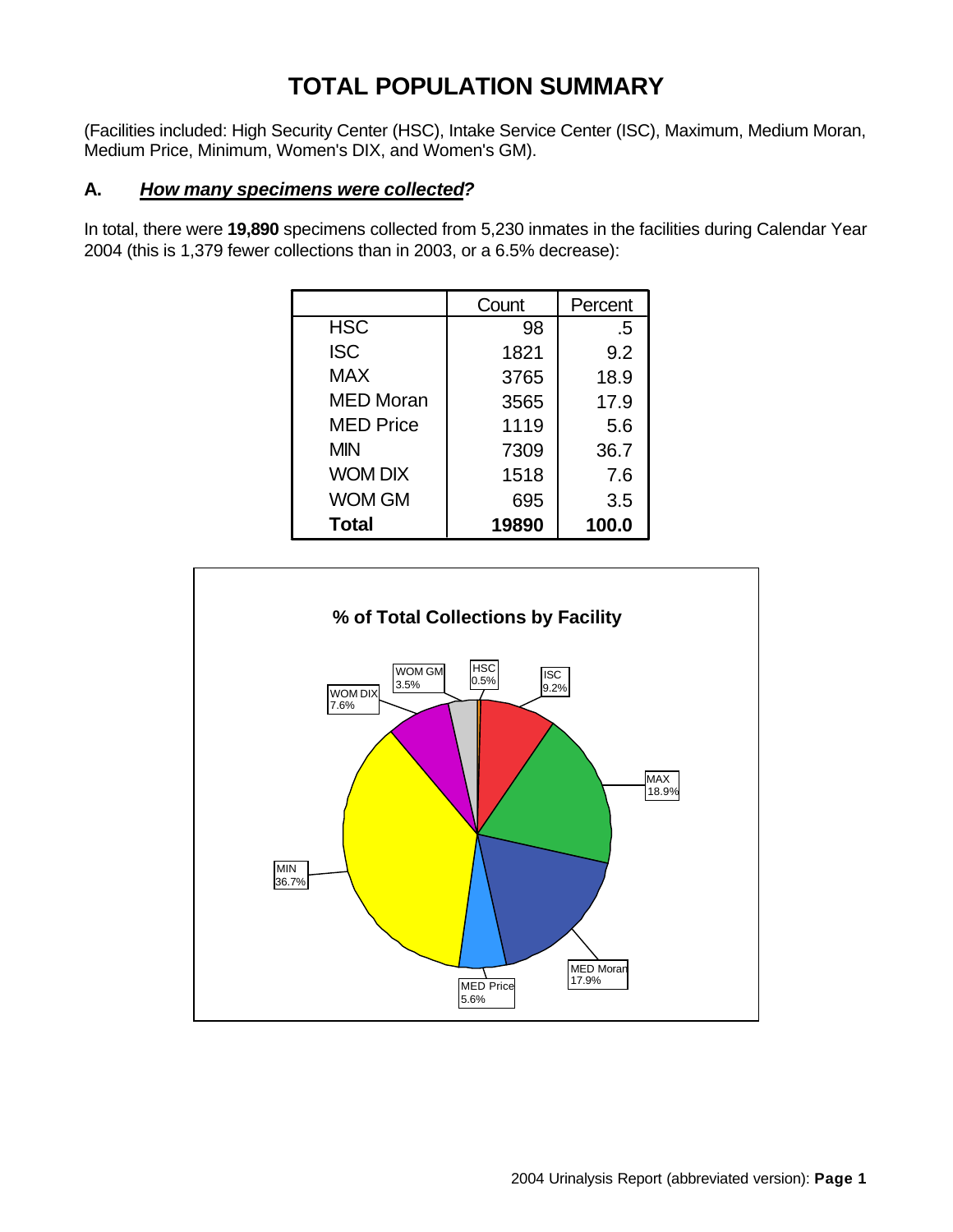### **TOTAL POPULATION SUMMARY**

(Facilities included: High Security Center (HSC), Intake Service Center (ISC), Maximum, Medium Moran, Medium Price, Minimum, Women's DIX, and Women's GM).

#### **A.** *How many specimens were collected?*

In total, there were **19,890** specimens collected from 5,230 inmates in the facilities during Calendar Year 2004 (this is 1,379 fewer collections than in 2003, or a 6.5% decrease):

|                  | Count | Percent |
|------------------|-------|---------|
| <b>HSC</b>       | 98    | .5      |
| <b>ISC</b>       | 1821  | 9.2     |
| <b>MAX</b>       | 3765  | 18.9    |
| <b>MED Moran</b> | 3565  | 17.9    |
| <b>MED Price</b> | 1119  | 5.6     |
| <b>MIN</b>       | 7309  | 36.7    |
| <b>WOM DIX</b>   | 1518  | 7.6     |
| <b>WOM GM</b>    | 695   | 3.5     |
| <b>Total</b>     | 19890 | 100.0   |

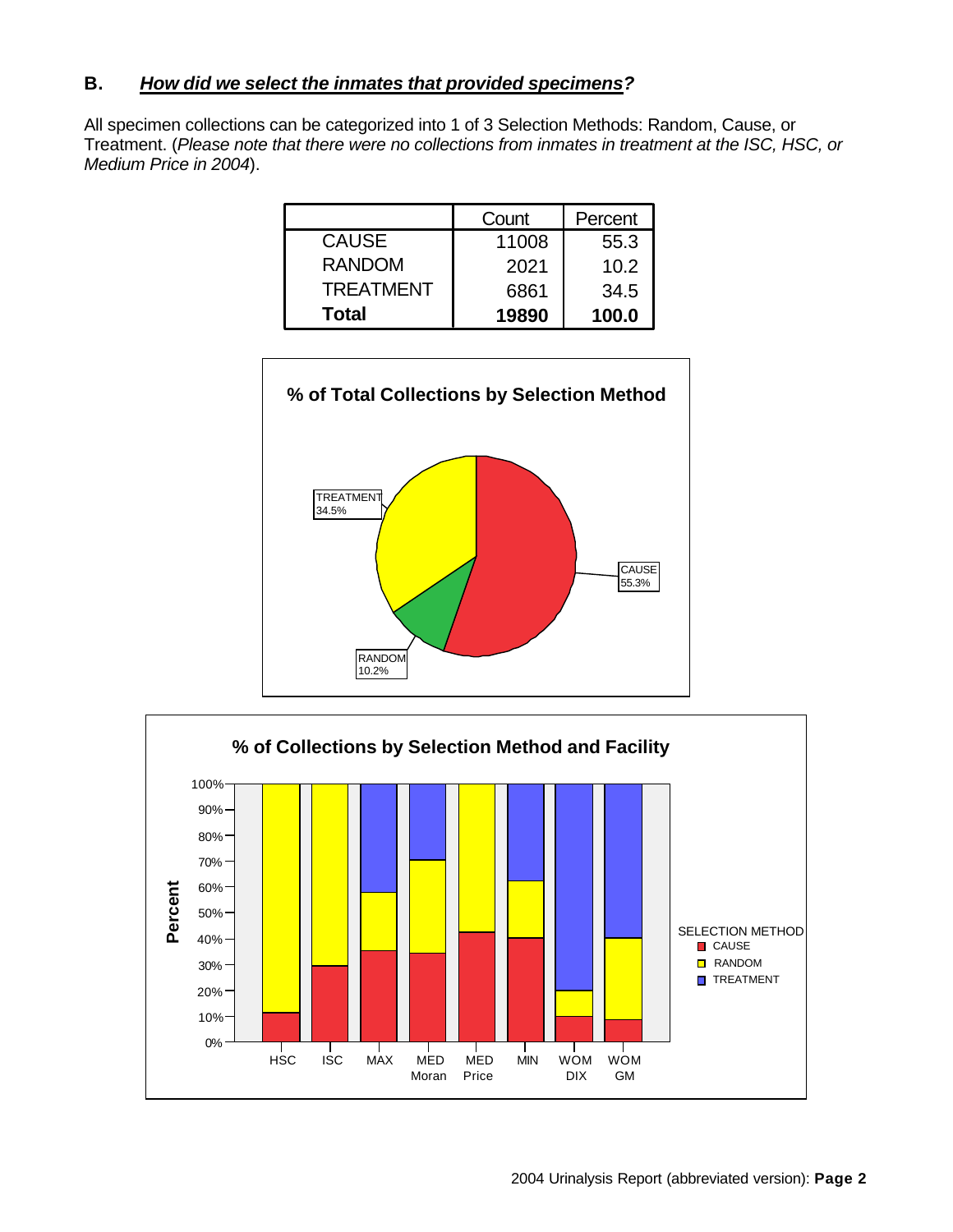#### **B.** *How did we select the inmates that provided specimens?*

All specimen collections can be categorized into 1 of 3 Selection Methods: Random, Cause, or Treatment. (*Please note that there were no collections from inmates in treatment at the ISC, HSC, or Medium Price in 2004*).

|                  | Count | Percent |
|------------------|-------|---------|
| <b>CAUSE</b>     | 11008 | 55.3    |
| <b>RANDOM</b>    | 2021  | 10.2    |
| <b>TREATMENT</b> | 6861  | 34.5    |
| <b>Total</b>     | 19890 | 100.0   |



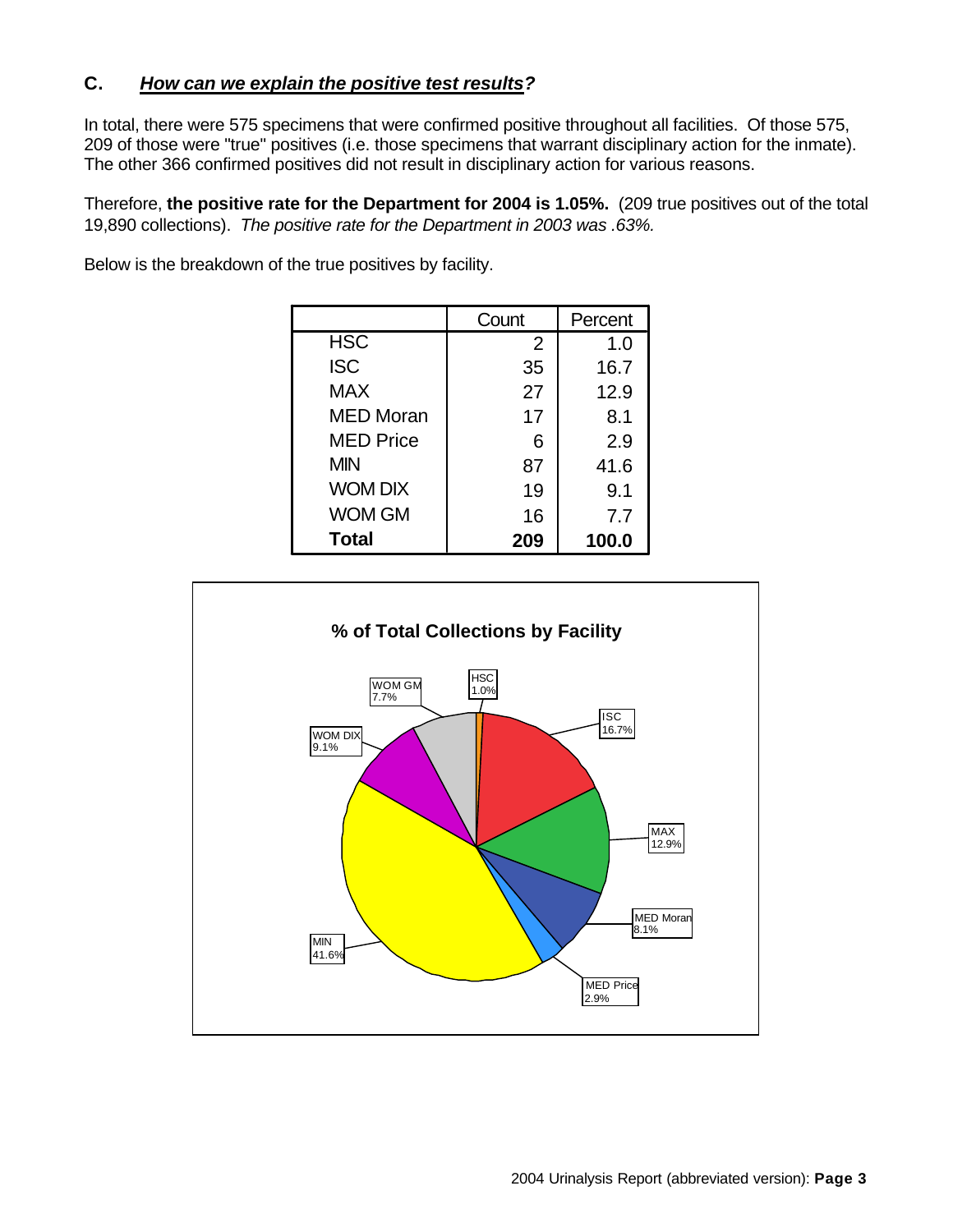### **C.** *How can we explain the positive test results?*

In total, there were 575 specimens that were confirmed positive throughout all facilities. Of those 575, 209 of those were "true" positives (i.e. those specimens that warrant disciplinary action for the inmate). The other 366 confirmed positives did not result in disciplinary action for various reasons.

Therefore, **the positive rate for the Department for 2004 is 1.05%.** (209 true positives out of the total 19,890 collections). *The positive rate for the Department in 2003 was .63%.*

|                  | Count | Percent |
|------------------|-------|---------|
| <b>HSC</b>       | 2     | 1.0     |
| <b>ISC</b>       | 35    | 16.7    |
| <b>MAX</b>       | 27    | 12.9    |
| <b>MED Moran</b> | 17    | 8.1     |
| <b>MED Price</b> | 6     | 2.9     |
| <b>MIN</b>       | 87    | 41.6    |
| <b>WOM DIX</b>   | 19    | 9.1     |
| <b>WOM GM</b>    | 16    | 7.7     |
| <b>Total</b>     | 209   | 100.0   |

Below is the breakdown of the true positives by facility.

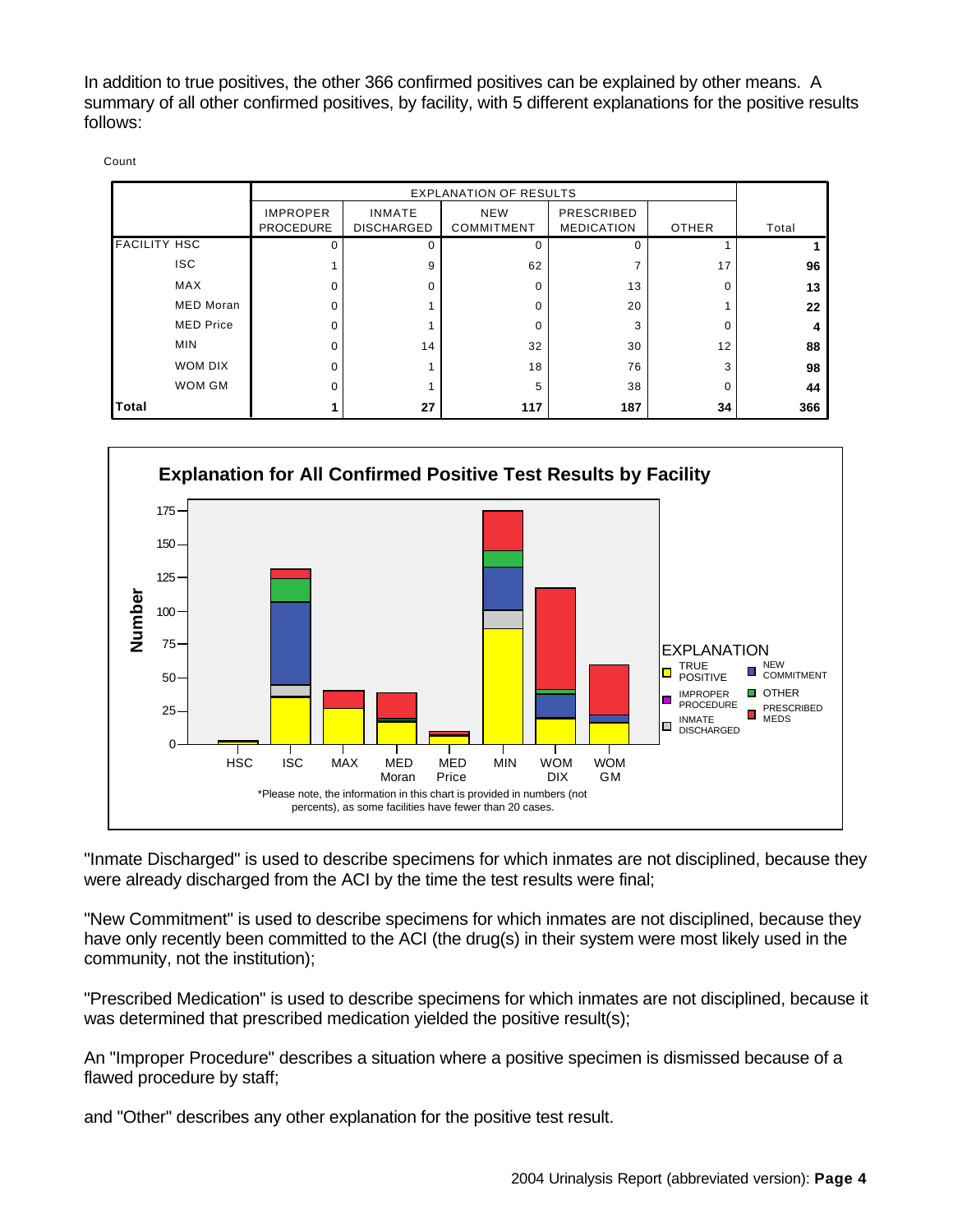In addition to true positives, the other 366 confirmed positives can be explained by other means. A summary of all other confirmed positives, by facility, with 5 different explanations for the positive results follows:

|                     | <b>EXPLANATION OF RESULTS</b> |                   |                   |                   |          |       |
|---------------------|-------------------------------|-------------------|-------------------|-------------------|----------|-------|
|                     | <b>IMPROPER</b>               | <b>INMATE</b>     | <b>NEW</b>        | PRESCRIBED        |          |       |
|                     | <b>PROCEDURE</b>              | <b>DISCHARGED</b> | <b>COMMITMENT</b> | <b>MEDICATION</b> | OTHER    | Total |
| <b>FACILITY HSC</b> |                               | 0                 | $\Omega$          |                   |          |       |
| <b>ISC</b>          |                               | 9                 | 62                |                   | 17       | 96    |
| MAX                 | O                             | $\Omega$          | 0                 | 13                | 0        | 13    |
| <b>MED Moran</b>    | ŋ                             |                   | 0                 | 20                |          | 22    |
| <b>MED Price</b>    |                               |                   | 0                 | 3                 | $\Omega$ | 4     |
| <b>MIN</b>          | ∩                             | 14                | 32                | 30                | 12       | 88    |
| WOM DIX             | $\Omega$                      |                   | 18                | 76                | 3        | 98    |
| WOM GM              | ŋ                             |                   | 5                 | 38                | 0        | 44    |
| Total               |                               | 27                | 117               | 187               | 34       | 366   |



"Inmate Discharged" is used to describe specimens for which inmates are not disciplined, because they were already discharged from the ACI by the time the test results were final;

"New Commitment" is used to describe specimens for which inmates are not disciplined, because they have only recently been committed to the ACI (the drug(s) in their system were most likely used in the community, not the institution);

"Prescribed Medication" is used to describe specimens for which inmates are not disciplined, because it was determined that prescribed medication yielded the positive result(s);

An "Improper Procedure" describes a situation where a positive specimen is dismissed because of a flawed procedure by staff;

and "Other" describes any other explanation for the positive test result.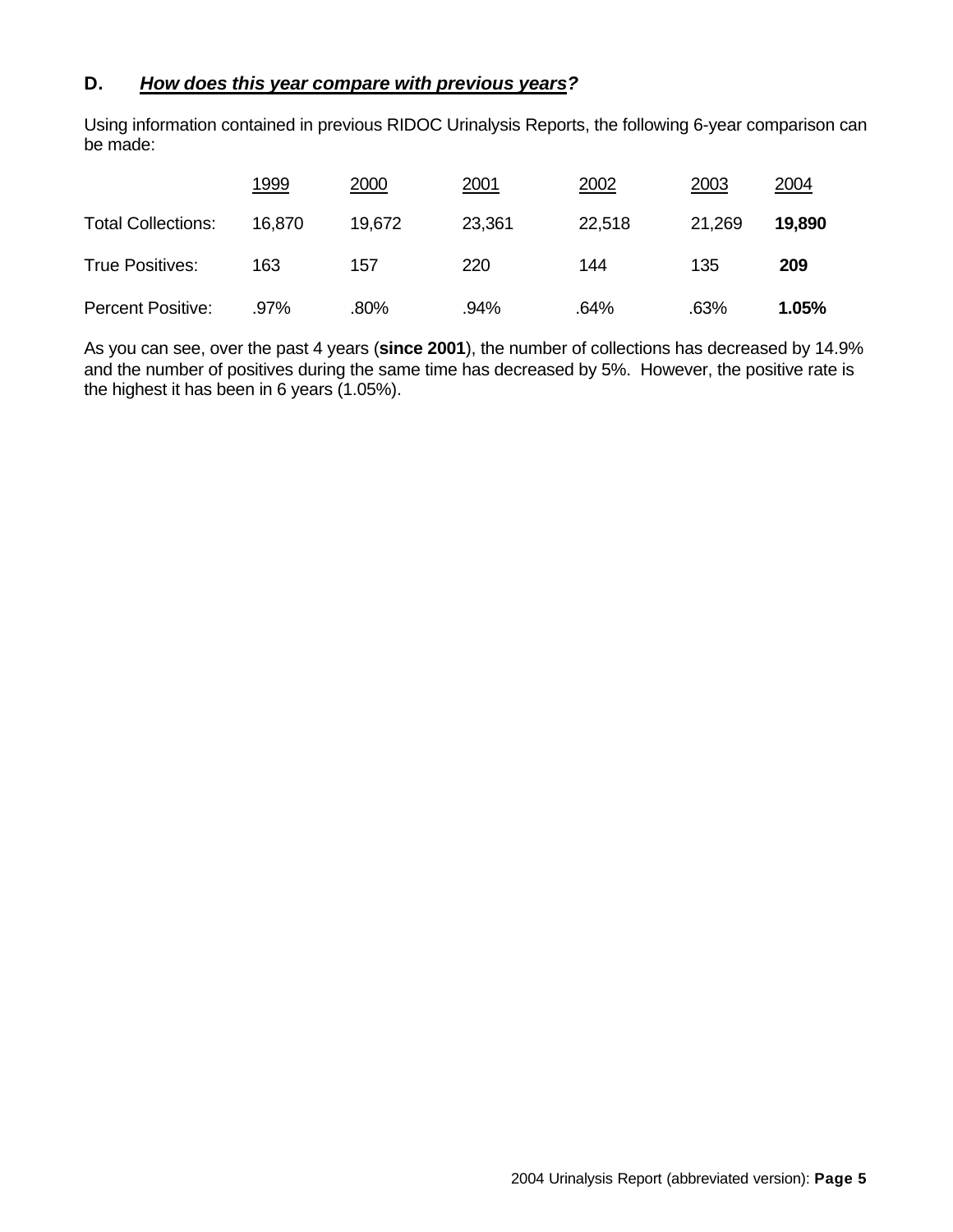#### **D.** *How does this year compare with previous years?*

Using information contained in previous RIDOC Urinalysis Reports, the following 6-year comparison can be made:

|                           | 1999   | 2000   | 2001   | 2002   | 2003   | 2004   |
|---------------------------|--------|--------|--------|--------|--------|--------|
| <b>Total Collections:</b> | 16.870 | 19.672 | 23,361 | 22,518 | 21,269 | 19,890 |
| True Positives:           | 163    | 157    | 220    | 144    | 135    | 209    |
| Percent Positive:         | .97%   | .80%   | .94%   | .64%   | .63%   | 1.05%  |

As you can see, over the past 4 years (**since 2001**), the number of collections has decreased by 14.9% and the number of positives during the same time has decreased by 5%. However, the positive rate is the highest it has been in 6 years (1.05%).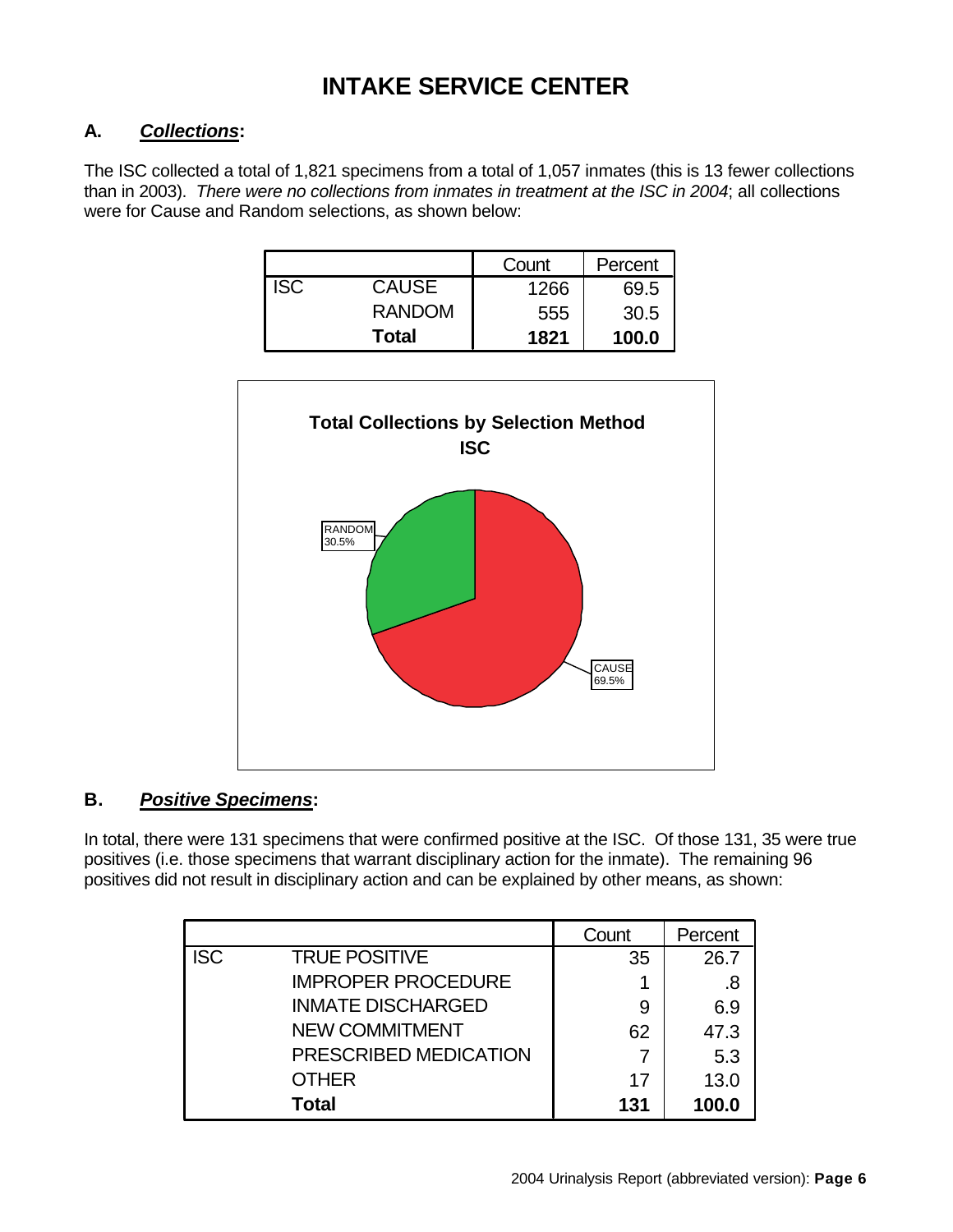### **INTAKE SERVICE CENTER**

### **A.** *Collections***:**

The ISC collected a total of 1,821 specimens from a total of 1,057 inmates (this is 13 fewer collections than in 2003). *There were no collections from inmates in treatment at the ISC in 2004*; all collections were for Cause and Random selections, as shown below:

|            |               | Count | Percent |
|------------|---------------|-------|---------|
| <b>ISC</b> | <b>CAUSE</b>  | 1266  | 69.5    |
|            | <b>RANDOM</b> | 555   | 30.5    |
|            | Total         | 1821  | 100.0   |



### **B.** *Positive Specimens***:**

In total, there were 131 specimens that were confirmed positive at the ISC. Of those 131, 35 were true positives (i.e. those specimens that warrant disciplinary action for the inmate). The remaining 96 positives did not result in disciplinary action and can be explained by other means, as shown:

|            |                           | Count | Percent |
|------------|---------------------------|-------|---------|
| <b>ISC</b> | <b>TRUE POSITIVE</b>      | 35    | 26.7    |
|            | <b>IMPROPER PROCEDURE</b> |       | .8      |
|            | <b>INMATE DISCHARGED</b>  | 9     | 6.9     |
|            | <b>NEW COMMITMENT</b>     | 62    | 47.3    |
|            | PRESCRIBED MEDICATION     |       | 5.3     |
|            | <b>OTHER</b>              | 17    | 13.0    |
|            | <b>Total</b>              | 131   | 100.0   |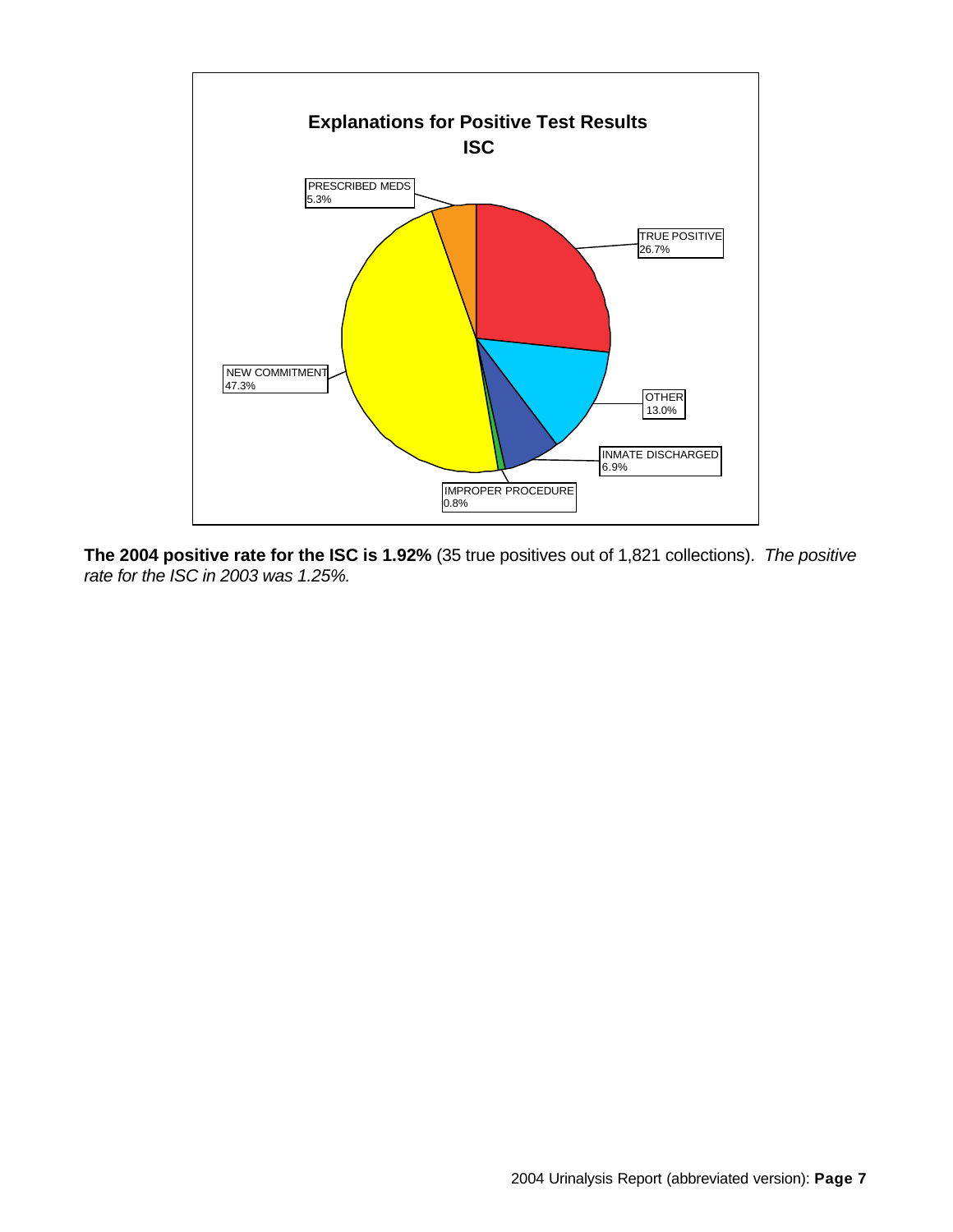

**The 2004 positive rate for the ISC is 1.92%** (35 true positives out of 1,821 collections). *The positive rate for the ISC in 2003 was 1.25%.*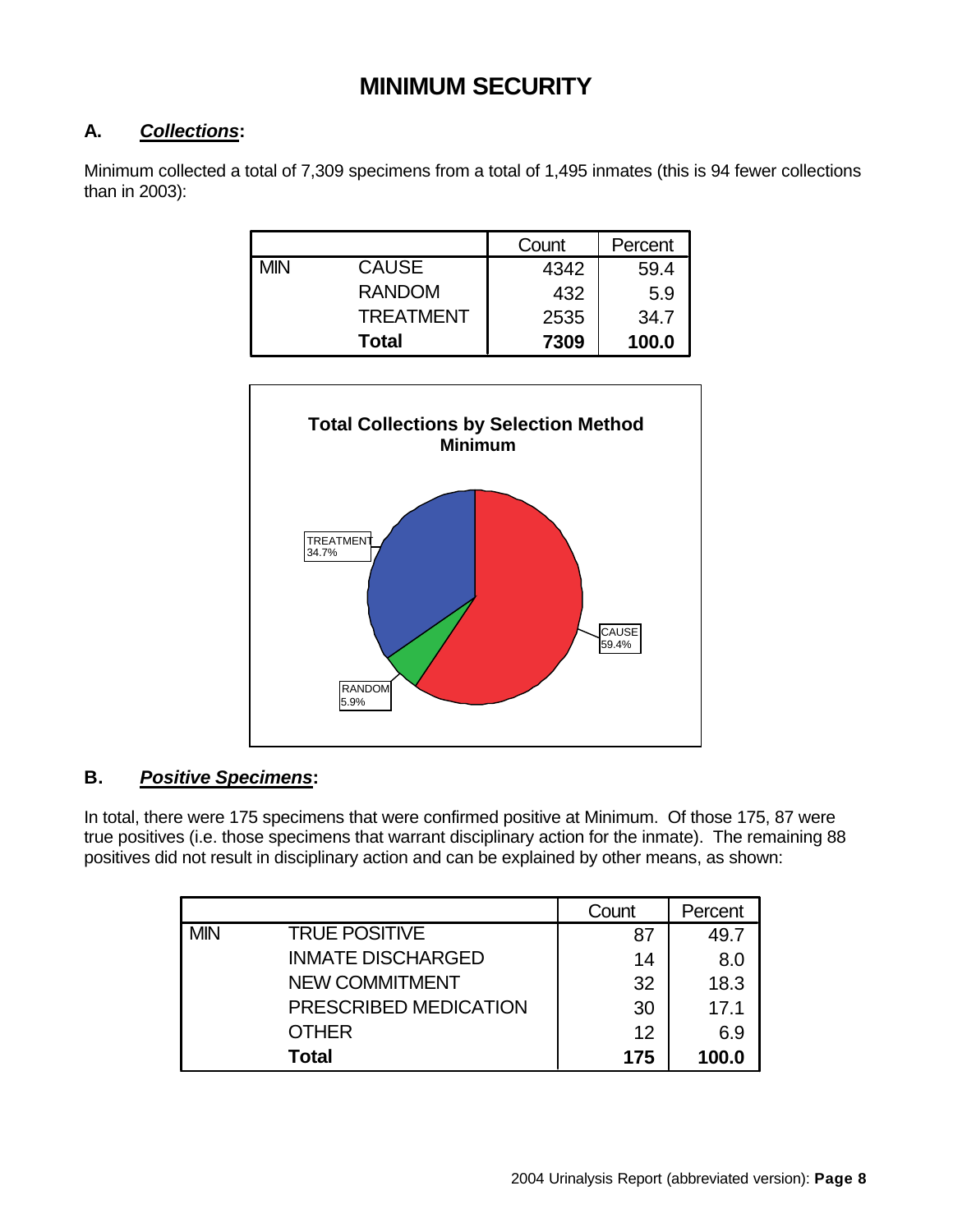### **MINIMUM SECURITY**

### **A.** *Collections***:**

Minimum collected a total of 7,309 specimens from a total of 1,495 inmates (this is 94 fewer collections than in 2003):

|            |                  | Count | Percent |
|------------|------------------|-------|---------|
| <b>MIN</b> | <b>CAUSE</b>     | 4342  | 59.4    |
|            | <b>RANDOM</b>    | 432   | 5.9     |
|            | <b>TREATMENT</b> | 2535  | 34.7    |
|            | <b>Total</b>     | 7309  | 100.0   |



### **B.** *Positive Specimens***:**

In total, there were 175 specimens that were confirmed positive at Minimum. Of those 175, 87 were true positives (i.e. those specimens that warrant disciplinary action for the inmate). The remaining 88 positives did not result in disciplinary action and can be explained by other means, as shown:

|            |                          | Count | Percent |
|------------|--------------------------|-------|---------|
| <b>MIN</b> | <b>TRUE POSITIVE</b>     | 87    | 49.7    |
|            | <b>INMATE DISCHARGED</b> | 14    | 8.0     |
|            | <b>NEW COMMITMENT</b>    | 32    | 18.3    |
|            | PRESCRIBED MEDICATION    | 30    | 17.1    |
|            | <b>OTHER</b>             | 12    | 6.9     |
|            | Total                    | 175   | 100.0   |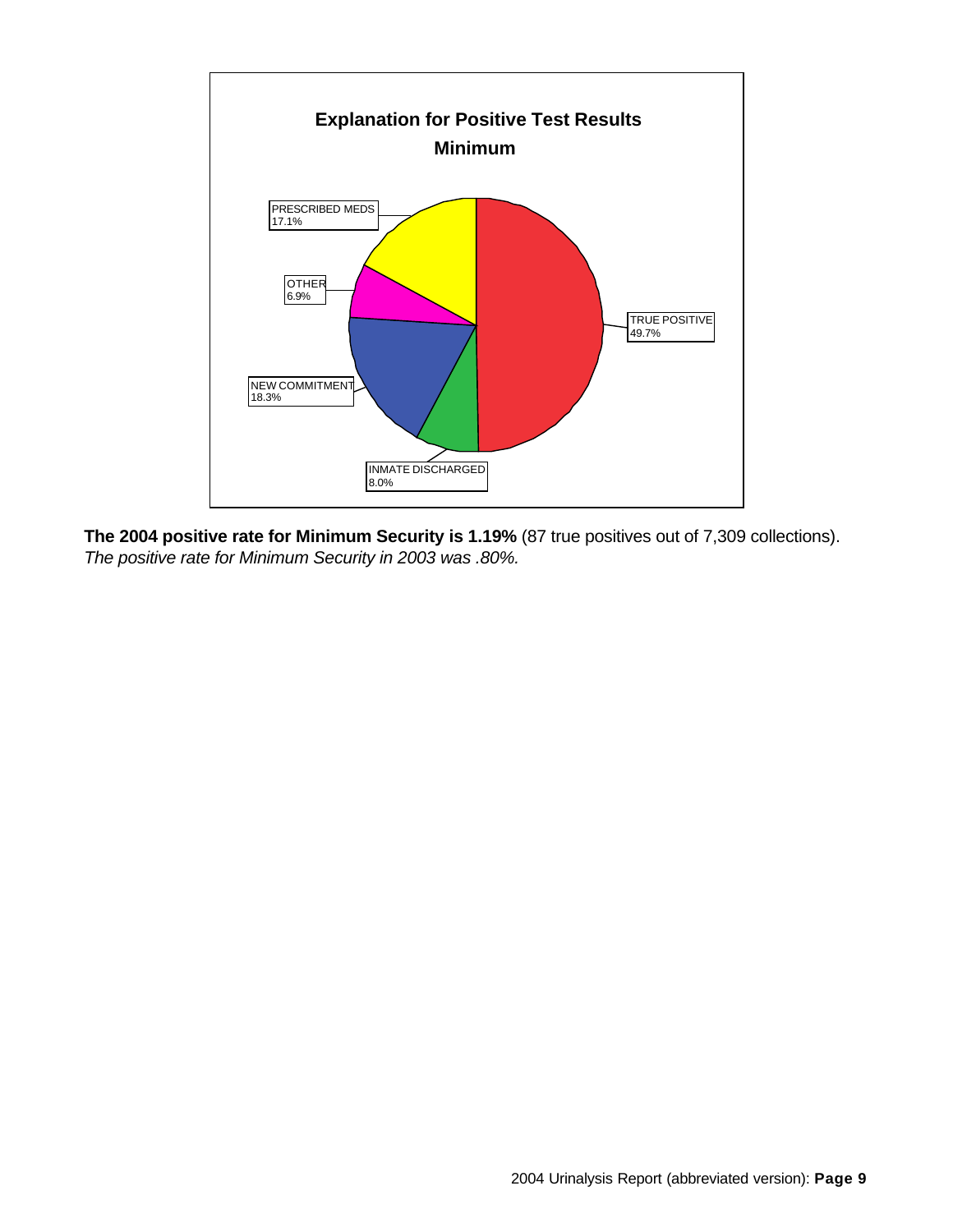

**The 2004 positive rate for Minimum Security is 1.19%** (87 true positives out of 7,309 collections). *The positive rate for Minimum Security in 2003 was .80%.*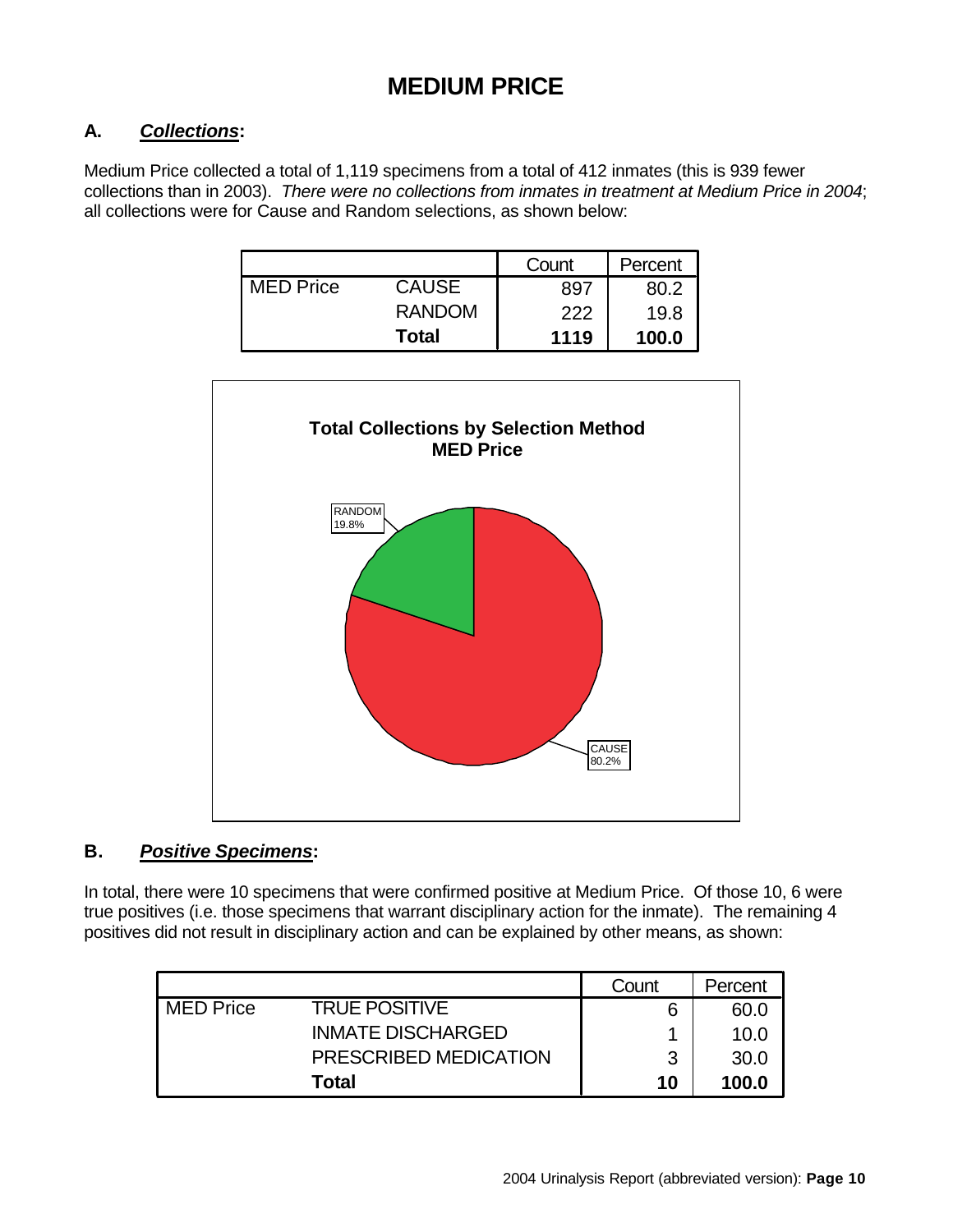### **MEDIUM PRICE**

### **A.** *Collections***:**

Medium Price collected a total of 1,119 specimens from a total of 412 inmates (this is 939 fewer collections than in 2003). *There were no collections from inmates in treatment at Medium Price in 2004*; all collections were for Cause and Random selections, as shown below:

|                  |               | Count | Percent |
|------------------|---------------|-------|---------|
| <b>MED Price</b> | <b>CAUSE</b>  | 897   | 80.2    |
|                  | <b>RANDOM</b> | 222   | 19.8    |
|                  | <b>Total</b>  | 1119  | 100.0   |



#### **B.** *Positive Specimens***:**

In total, there were 10 specimens that were confirmed positive at Medium Price. Of those 10, 6 were true positives (i.e. those specimens that warrant disciplinary action for the inmate). The remaining 4 positives did not result in disciplinary action and can be explained by other means, as shown:

|                  |                          | Count | Percent |
|------------------|--------------------------|-------|---------|
| <b>MED Price</b> | <b>TRUE POSITIVE</b>     | 6     | 60.0    |
|                  | <b>INMATE DISCHARGED</b> |       | 10.0    |
|                  | PRESCRIBED MEDICATION    | ิว    | 30.0    |
|                  | Total                    | 10    | 100.0   |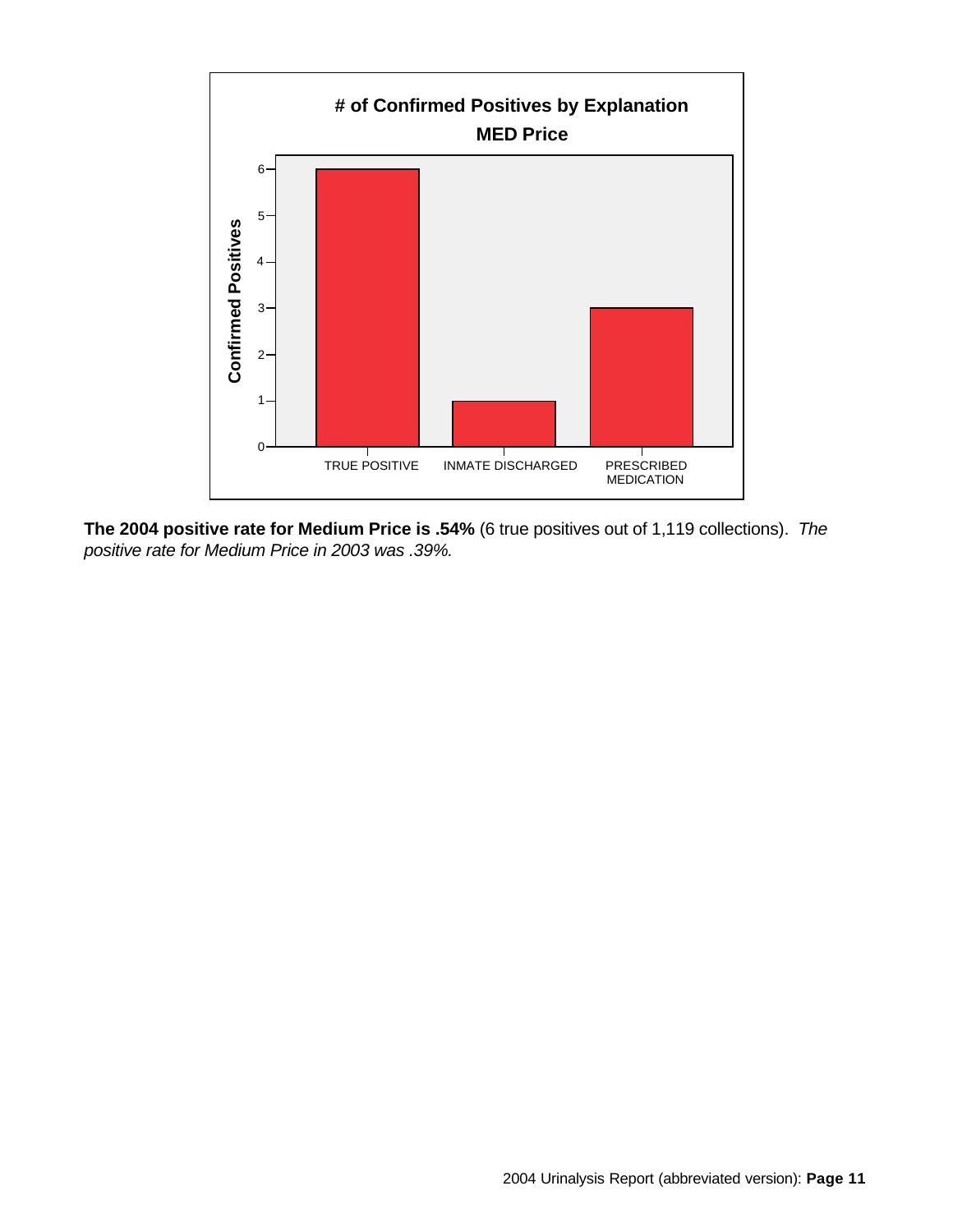

**The 2004 positive rate for Medium Price is .54%** (6 true positives out of 1,119 collections). *The positive rate for Medium Price in 2003 was .39%.*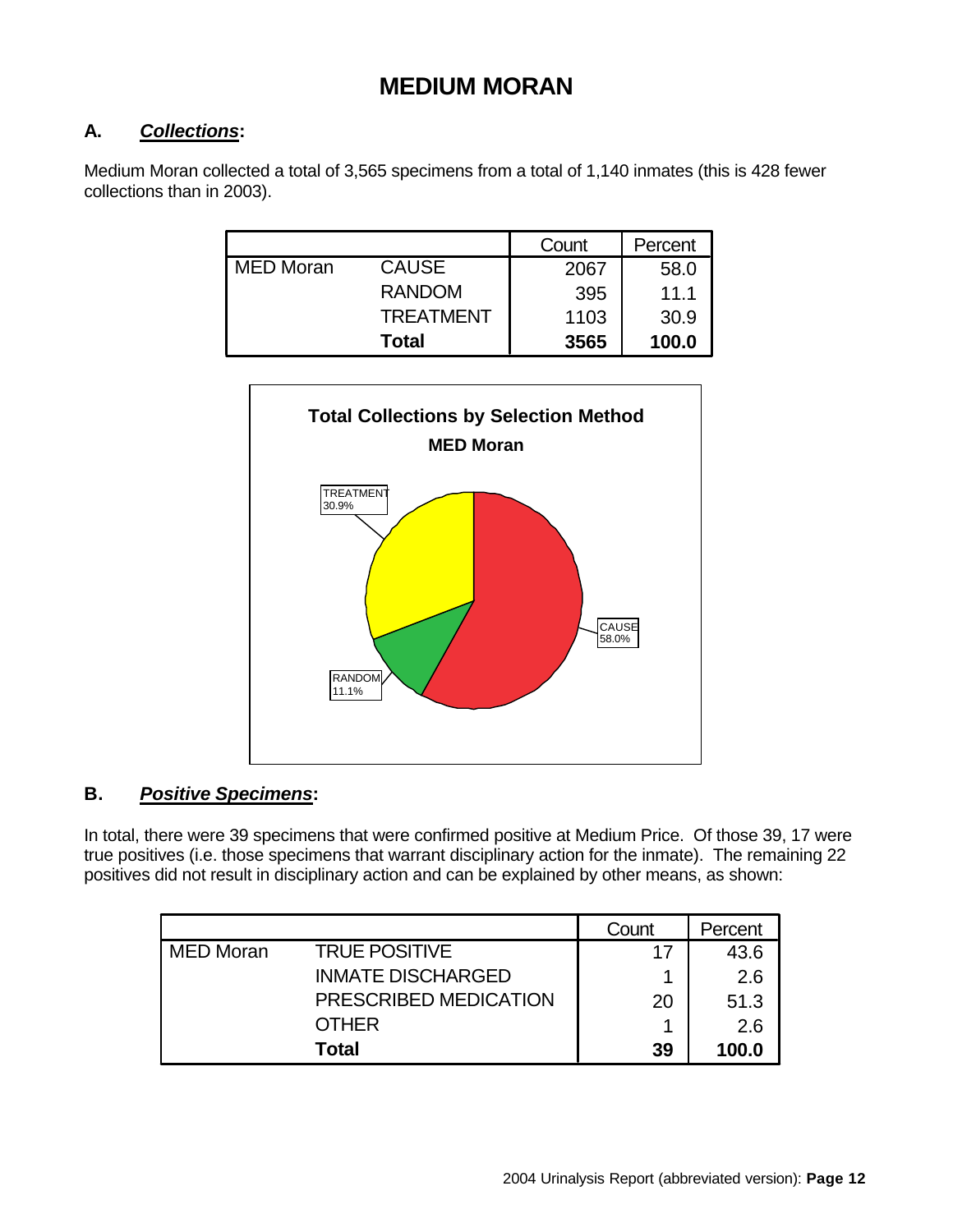### **MEDIUM MORAN**

### **A.** *Collections***:**

Medium Moran collected a total of 3,565 specimens from a total of 1,140 inmates (this is 428 fewer collections than in 2003).

|                  |                  | Count | Percent |
|------------------|------------------|-------|---------|
| <b>MED Moran</b> | <b>CAUSE</b>     | 2067  | 58.0    |
|                  | <b>RANDOM</b>    | 395   | 11.1    |
|                  | <b>TREATMENT</b> | 1103  | 30.9    |
|                  | <b>Total</b>     | 3565  | 100.0   |



### **B.** *Positive Specimens***:**

In total, there were 39 specimens that were confirmed positive at Medium Price. Of those 39, 17 were true positives (i.e. those specimens that warrant disciplinary action for the inmate). The remaining 22 positives did not result in disciplinary action and can be explained by other means, as shown:

|                  |                          | Count | Percent |
|------------------|--------------------------|-------|---------|
| <b>MED Moran</b> | <b>TRUE POSITIVE</b>     | 17    | 43.6    |
|                  | <b>INMATE DISCHARGED</b> |       | 2.6     |
|                  | PRESCRIBED MEDICATION    | 20    | 51.3    |
|                  | <b>OTHER</b>             |       | 2.6     |
|                  | Total                    | 39    | 100.0   |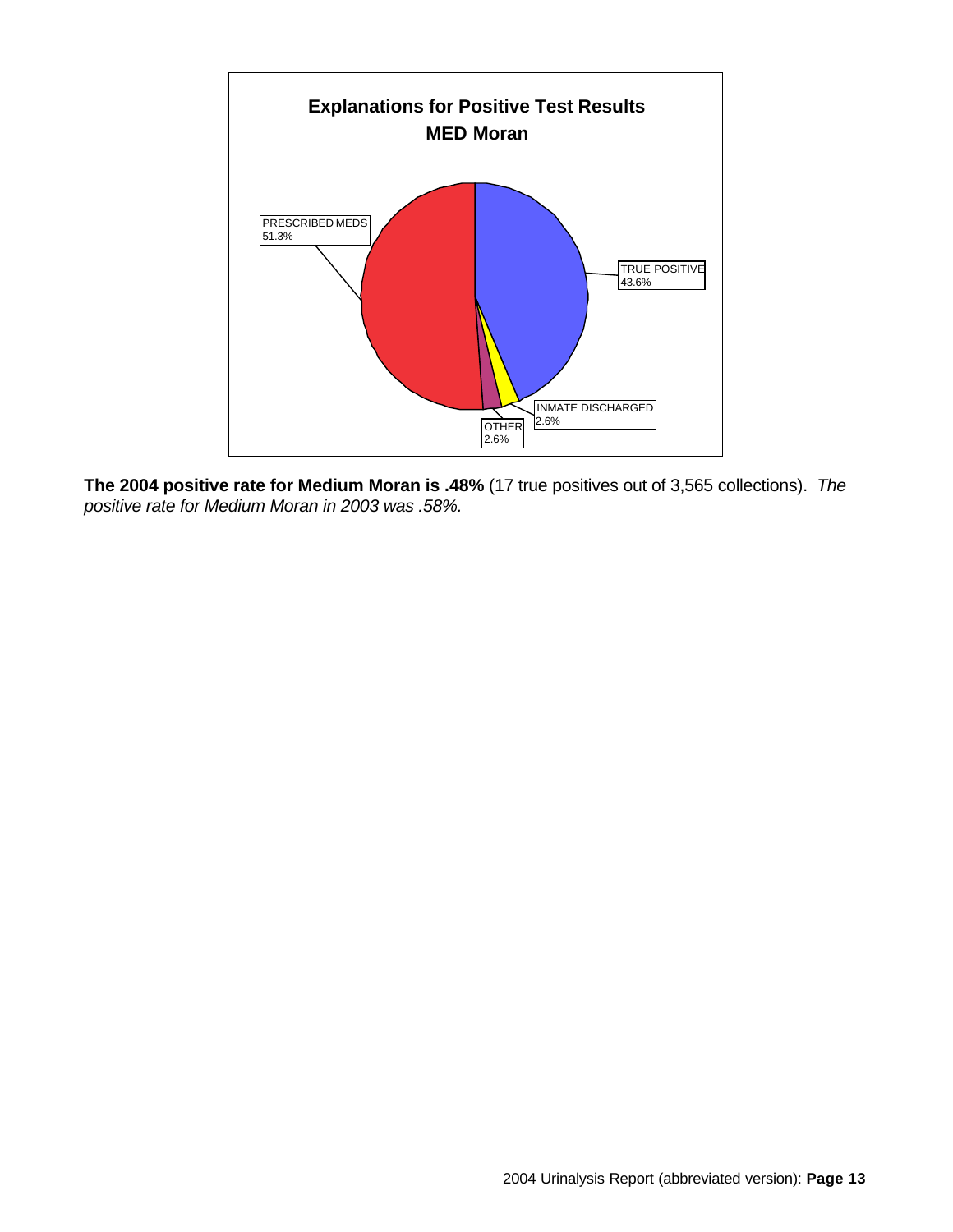

**The 2004 positive rate for Medium Moran is .48%** (17 true positives out of 3,565 collections). *The positive rate for Medium Moran in 2003 was .58%.*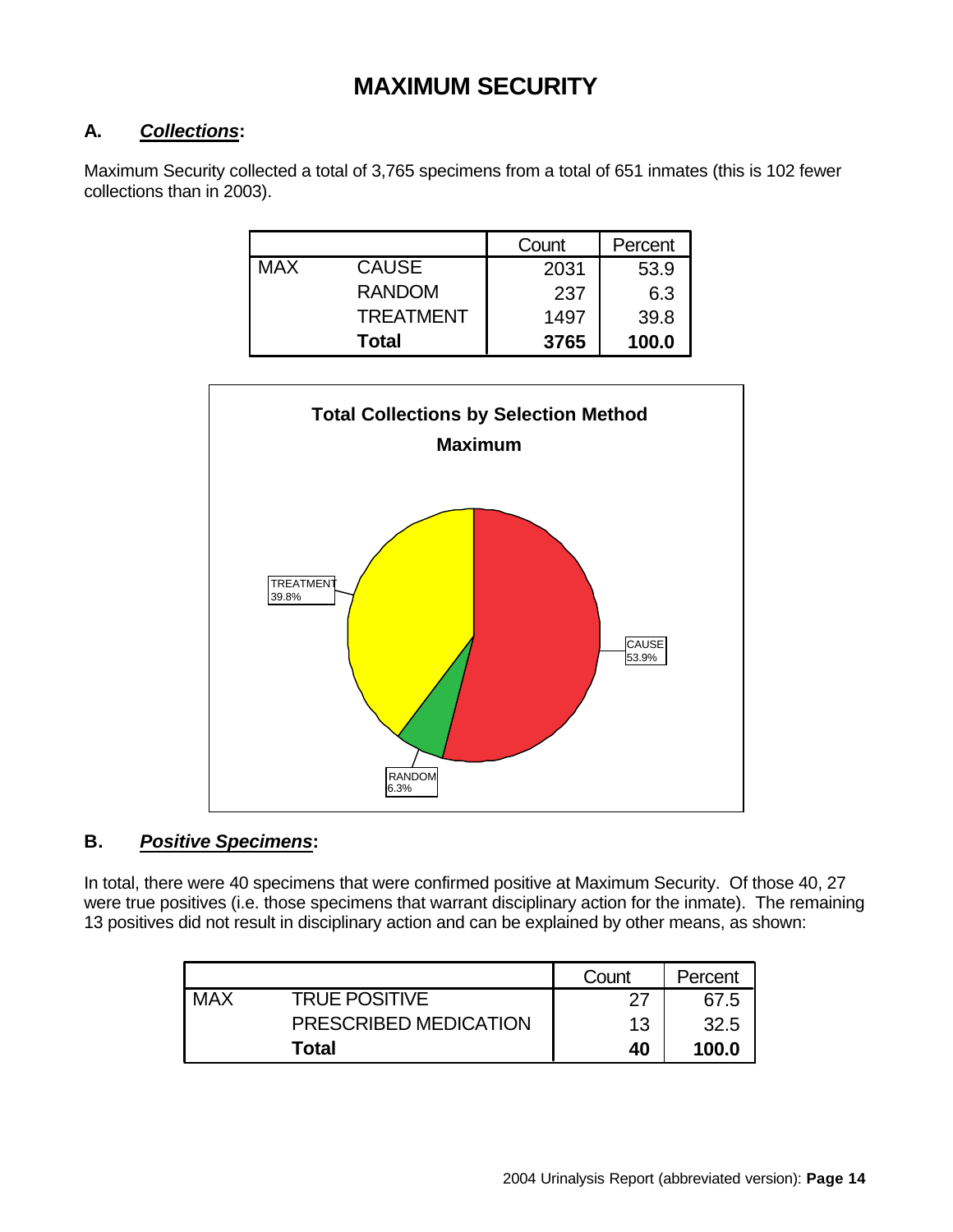### **MAXIMUM SECURITY**

### **A.** *Collections***:**

Maximum Security collected a total of 3,765 specimens from a total of 651 inmates (this is 102 fewer collections than in 2003).

|            |                  | Count | Percent |
|------------|------------------|-------|---------|
| <b>MAX</b> | <b>CAUSE</b>     | 2031  | 53.9    |
|            | <b>RANDOM</b>    | 237   | 6.3     |
|            | <b>TREATMENT</b> | 1497  | 39.8    |
|            | <b>Total</b>     | 3765  | 100.0   |



### **B.** *Positive Specimens***:**

In total, there were 40 specimens that were confirmed positive at Maximum Security. Of those 40, 27 were true positives (i.e. those specimens that warrant disciplinary action for the inmate). The remaining 13 positives did not result in disciplinary action and can be explained by other means, as shown:

|     |                       | Count | Percent |
|-----|-----------------------|-------|---------|
| MAX | <b>TRUE POSITIVE</b>  | דר    | 67.5    |
|     | PRESCRIBED MEDICATION | 13    | 32.5    |
|     | Total                 | 40    | 100.0   |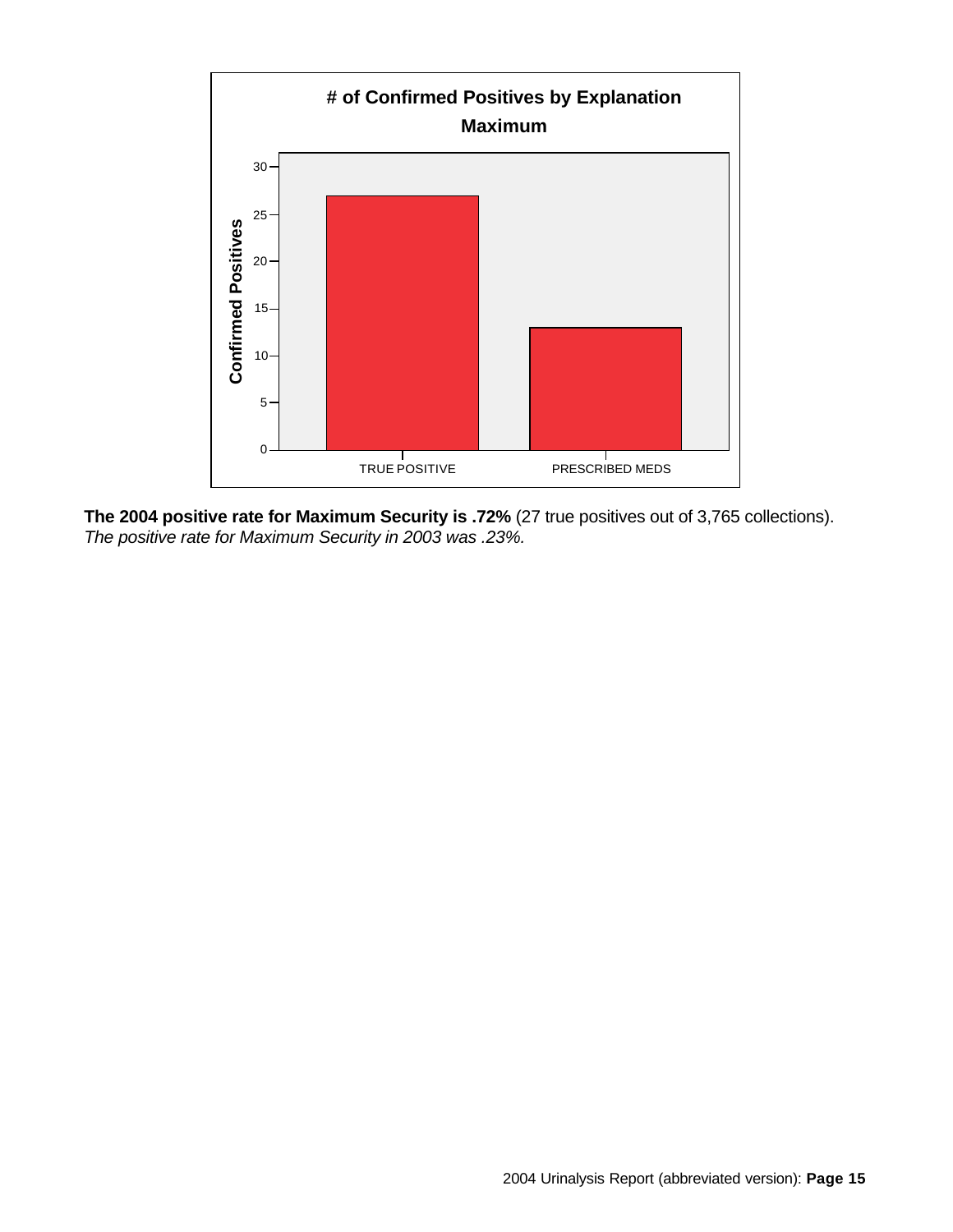

**The 2004 positive rate for Maximum Security is .72%** (27 true positives out of 3,765 collections). *The positive rate for Maximum Security in 2003 was .23%.*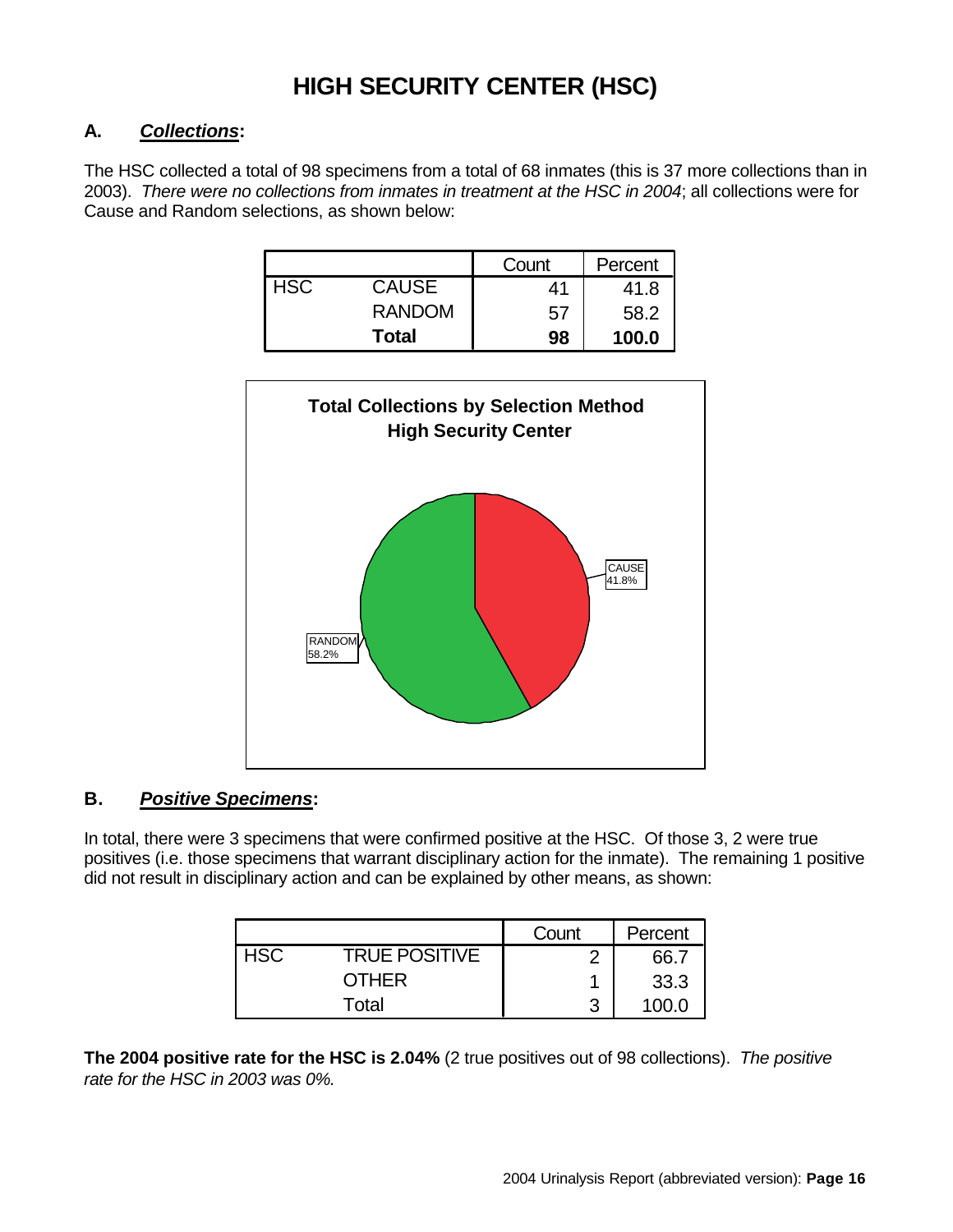### **HIGH SECURITY CENTER (HSC)**

#### **A.** *Collections***:**

The HSC collected a total of 98 specimens from a total of 68 inmates (this is 37 more collections than in 2003). *There were no collections from inmates in treatment at the HSC in 2004*; all collections were for Cause and Random selections, as shown below:

|            |               | Count | Percent |
|------------|---------------|-------|---------|
| <b>HSC</b> | <b>CAUSE</b>  | 41    | 41.8    |
|            | <b>RANDOM</b> | 57    | 58.2    |
|            | <b>Total</b>  | 98    | 100.0   |



#### **B.** *Positive Specimens***:**

In total, there were 3 specimens that were confirmed positive at the HSC. Of those 3, 2 were true positives (i.e. those specimens that warrant disciplinary action for the inmate). The remaining 1 positive did not result in disciplinary action and can be explained by other means, as shown:

|            |                      | Count | Percent |
|------------|----------------------|-------|---------|
| <b>HSC</b> | <b>TRUE POSITIVE</b> |       | 66.7    |
|            | <b>OTHER</b>         |       | 33.3    |
|            | Total                | ว     | 100 O   |

**The 2004 positive rate for the HSC is 2.04%** (2 true positives out of 98 collections). *The positive rate for the HSC in 2003 was 0%.*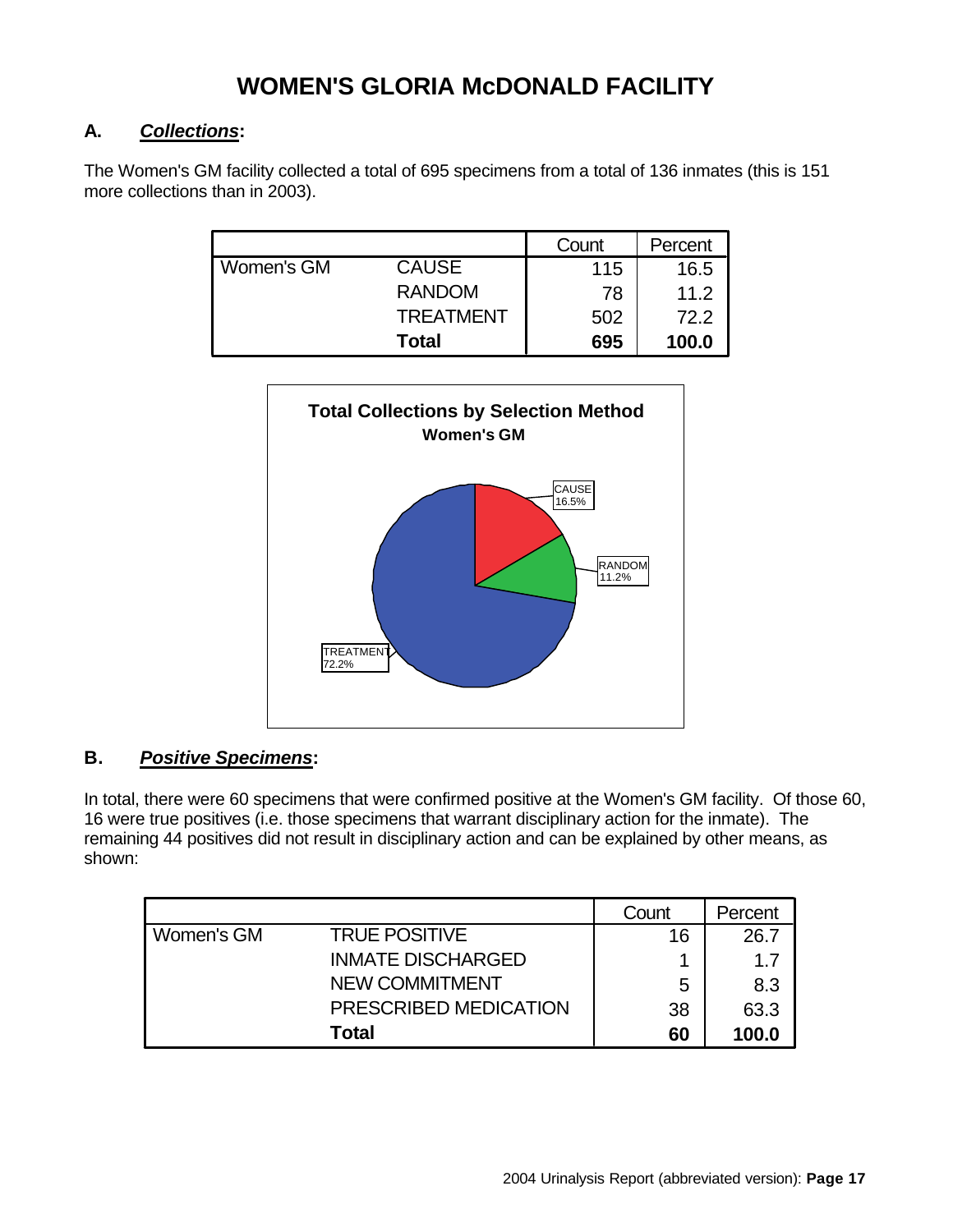### **WOMEN'S GLORIA McDONALD FACILITY**

#### **A.** *Collections***:**

The Women's GM facility collected a total of 695 specimens from a total of 136 inmates (this is 151 more collections than in 2003).

|            |                  | Count | Percent |
|------------|------------------|-------|---------|
| Women's GM | <b>CAUSE</b>     | 115   | 16.5    |
|            | <b>RANDOM</b>    | 78    | 11.2    |
|            | <b>TREATMENT</b> | 502   | 72.2    |
|            | Total            | 695   | 100.0   |



### **B.** *Positive Specimens***:**

In total, there were 60 specimens that were confirmed positive at the Women's GM facility. Of those 60, 16 were true positives (i.e. those specimens that warrant disciplinary action for the inmate). The remaining 44 positives did not result in disciplinary action and can be explained by other means, as shown:

|            |                          | Count | Percent |
|------------|--------------------------|-------|---------|
| Women's GM | <b>TRUE POSITIVE</b>     | 16    | 26.7    |
|            | <b>INMATE DISCHARGED</b> |       | 1.7     |
|            | <b>NEW COMMITMENT</b>    | 5     | 8.3     |
|            | PRESCRIBED MEDICATION    | 38    | 63.3    |
|            | <b>Total</b>             | 60    | 100.0   |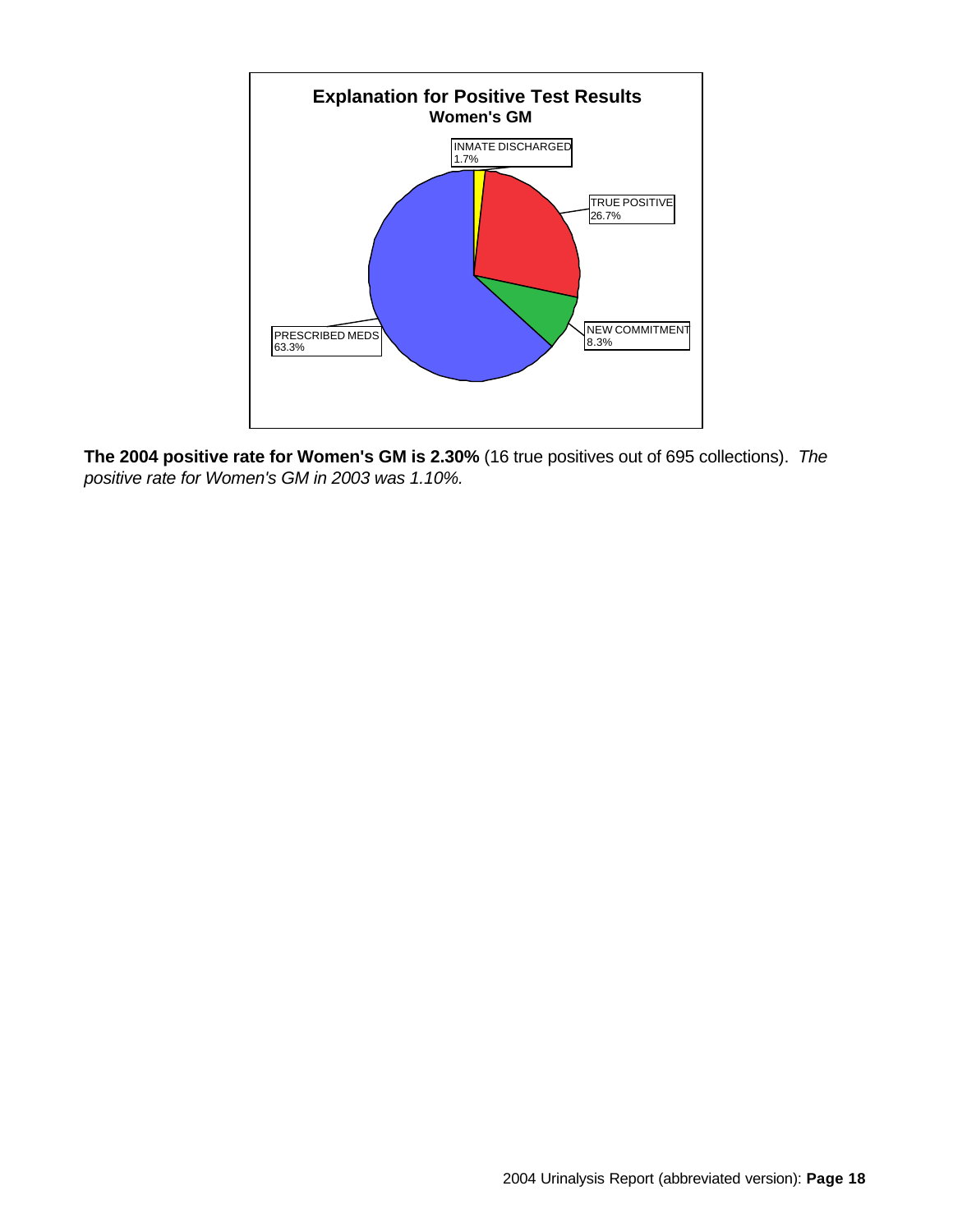

**The 2004 positive rate for Women's GM is 2.30%** (16 true positives out of 695 collections). *The positive rate for Women's GM in 2003 was 1.10%.*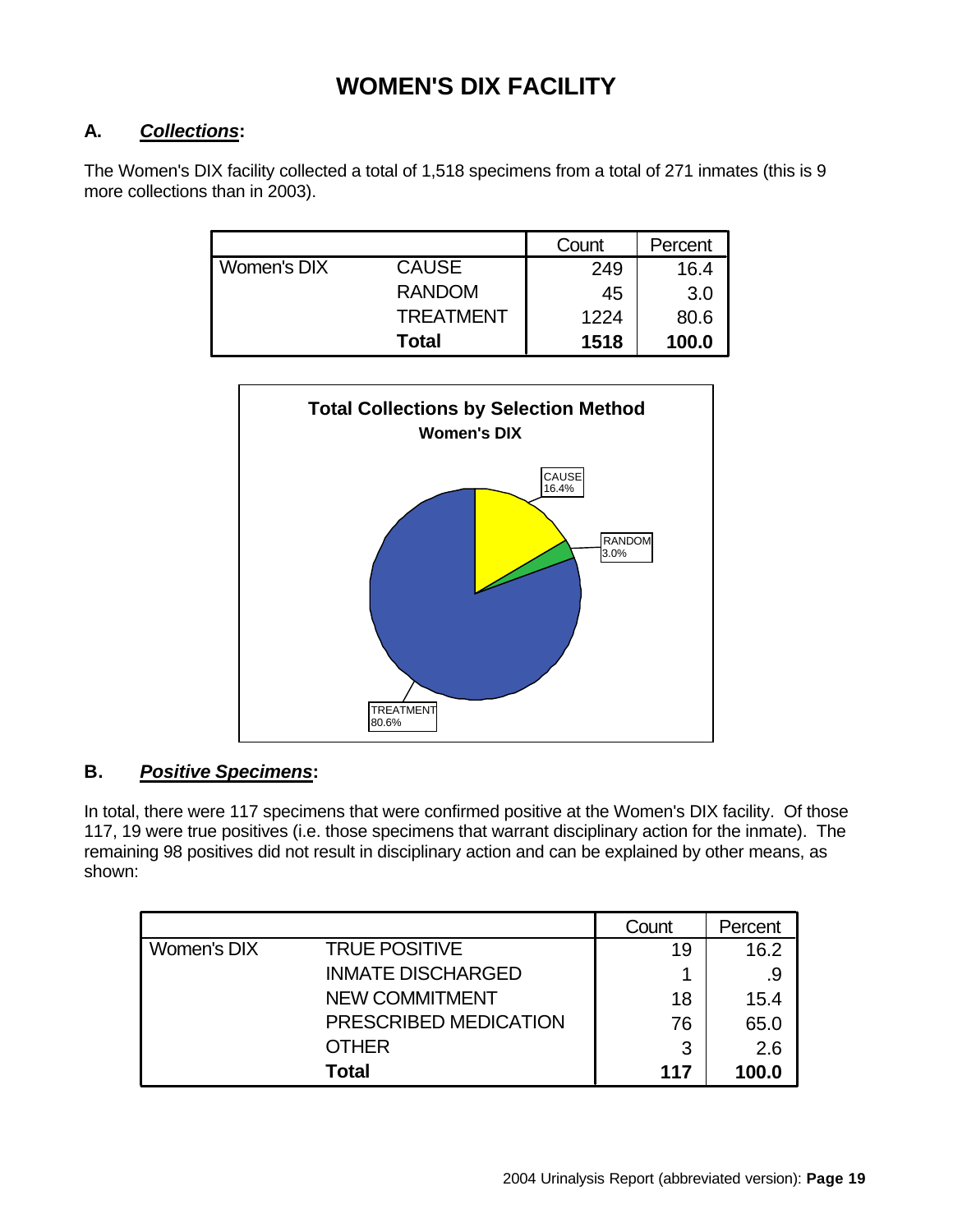### **WOMEN'S DIX FACILITY**

### **A.** *Collections***:**

The Women's DIX facility collected a total of 1,518 specimens from a total of 271 inmates (this is 9 more collections than in 2003).

|             |                  | Count | Percent |
|-------------|------------------|-------|---------|
| Women's DIX | <b>CAUSE</b>     | 249   | 16.4    |
|             | <b>RANDOM</b>    | 45    | 3.0     |
|             | <b>TREATMENT</b> | 1224  | 80.6    |
|             | <b>Total</b>     | 1518  | 100.0   |



### **B.** *Positive Specimens***:**

In total, there were 117 specimens that were confirmed positive at the Women's DIX facility. Of those 117, 19 were true positives (i.e. those specimens that warrant disciplinary action for the inmate). The remaining 98 positives did not result in disciplinary action and can be explained by other means, as shown:

|             |                          | Count | Percent |
|-------------|--------------------------|-------|---------|
| Women's DIX | <b>TRUE POSITIVE</b>     | 19    | 16.2    |
|             | <b>INMATE DISCHARGED</b> |       | .9      |
|             | <b>NEW COMMITMENT</b>    | 18    | 15.4    |
|             | PRESCRIBED MEDICATION    | 76    | 65.0    |
|             | <b>OTHER</b>             | 3     | 2.6     |
|             | <b>Total</b>             | 117   | 100.0   |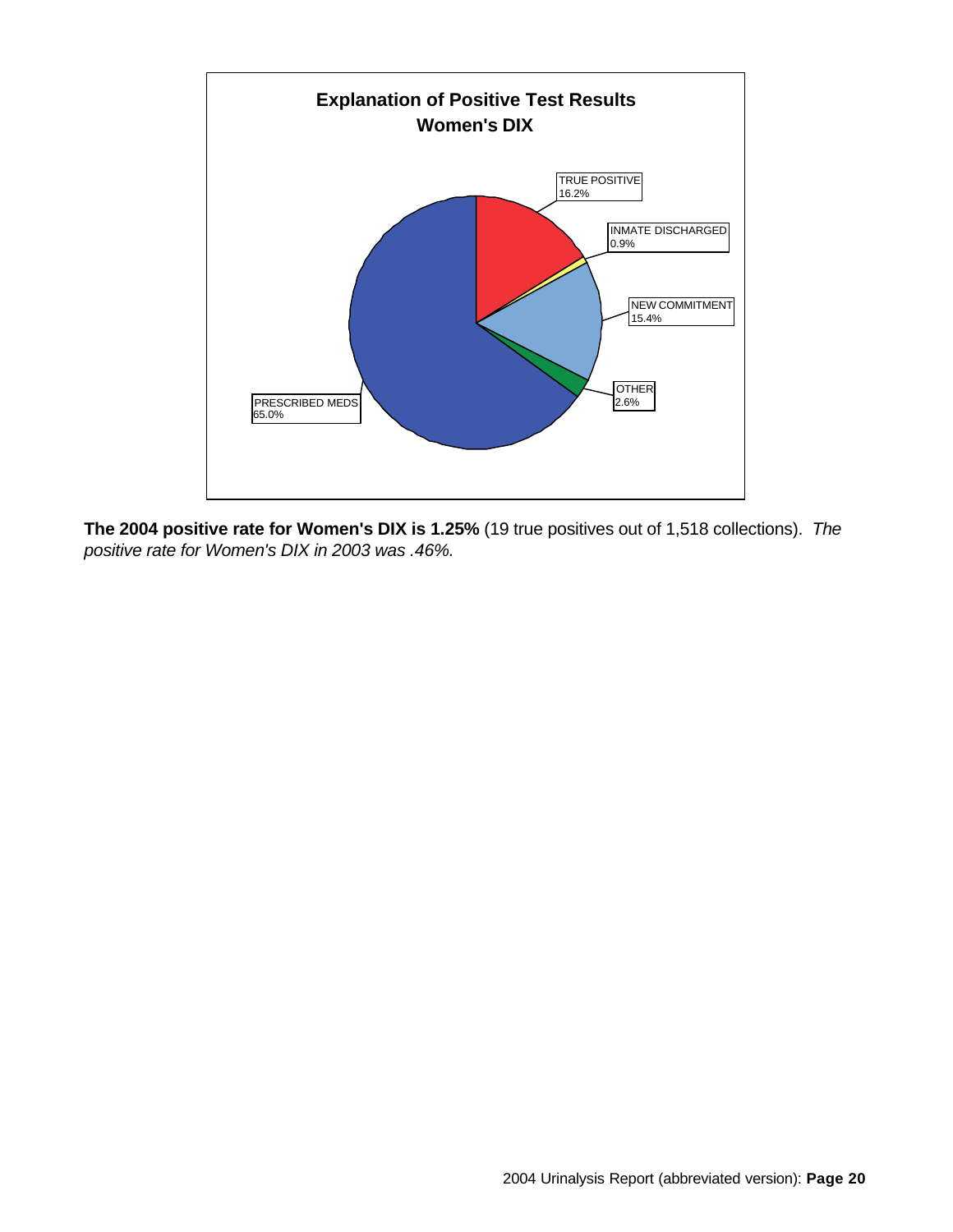

**The 2004 positive rate for Women's DIX is 1.25%** (19 true positives out of 1,518 collections). *The positive rate for Women's DIX in 2003 was .46%.*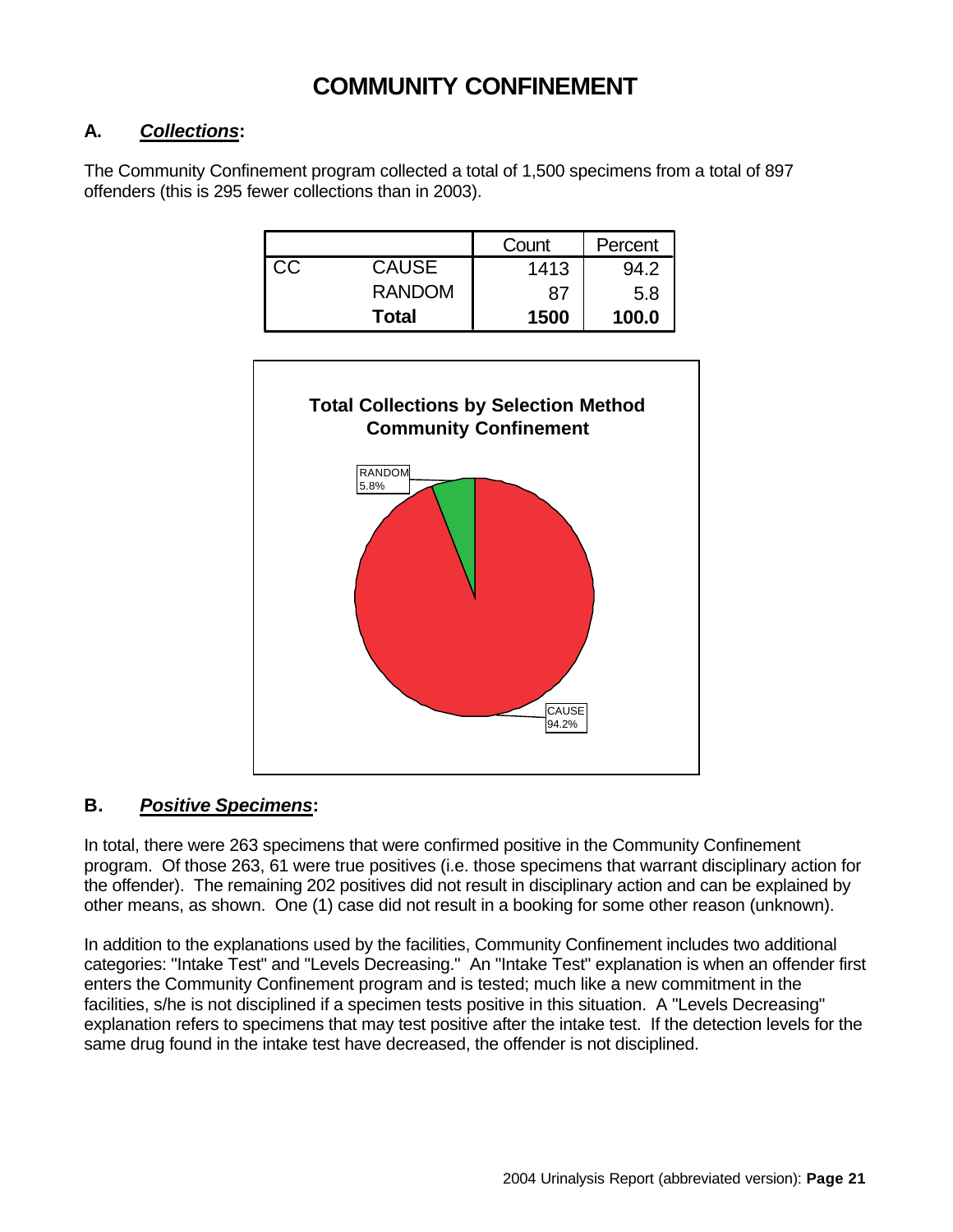### **COMMUNITY CONFINEMENT**

#### **A.** *Collections***:**

The Community Confinement program collected a total of 1,500 specimens from a total of 897 offenders (this is 295 fewer collections than in 2003).

|    |               | Count | Percent |
|----|---------------|-------|---------|
| СC | <b>CAUSE</b>  | 1413  | 94.2    |
|    | <b>RANDOM</b> | 87    | 5.8     |
|    | Total         | 1500  | 100.0   |



#### **B.** *Positive Specimens***:**

In total, there were 263 specimens that were confirmed positive in the Community Confinement program. Of those 263, 61 were true positives (i.e. those specimens that warrant disciplinary action for the offender). The remaining 202 positives did not result in disciplinary action and can be explained by other means, as shown. One (1) case did not result in a booking for some other reason (unknown).

In addition to the explanations used by the facilities, Community Confinement includes two additional categories: "Intake Test" and "Levels Decreasing." An "Intake Test" explanation is when an offender first enters the Community Confinement program and is tested; much like a new commitment in the facilities, s/he is not disciplined if a specimen tests positive in this situation. A "Levels Decreasing" explanation refers to specimens that may test positive after the intake test. If the detection levels for the same drug found in the intake test have decreased, the offender is not disciplined.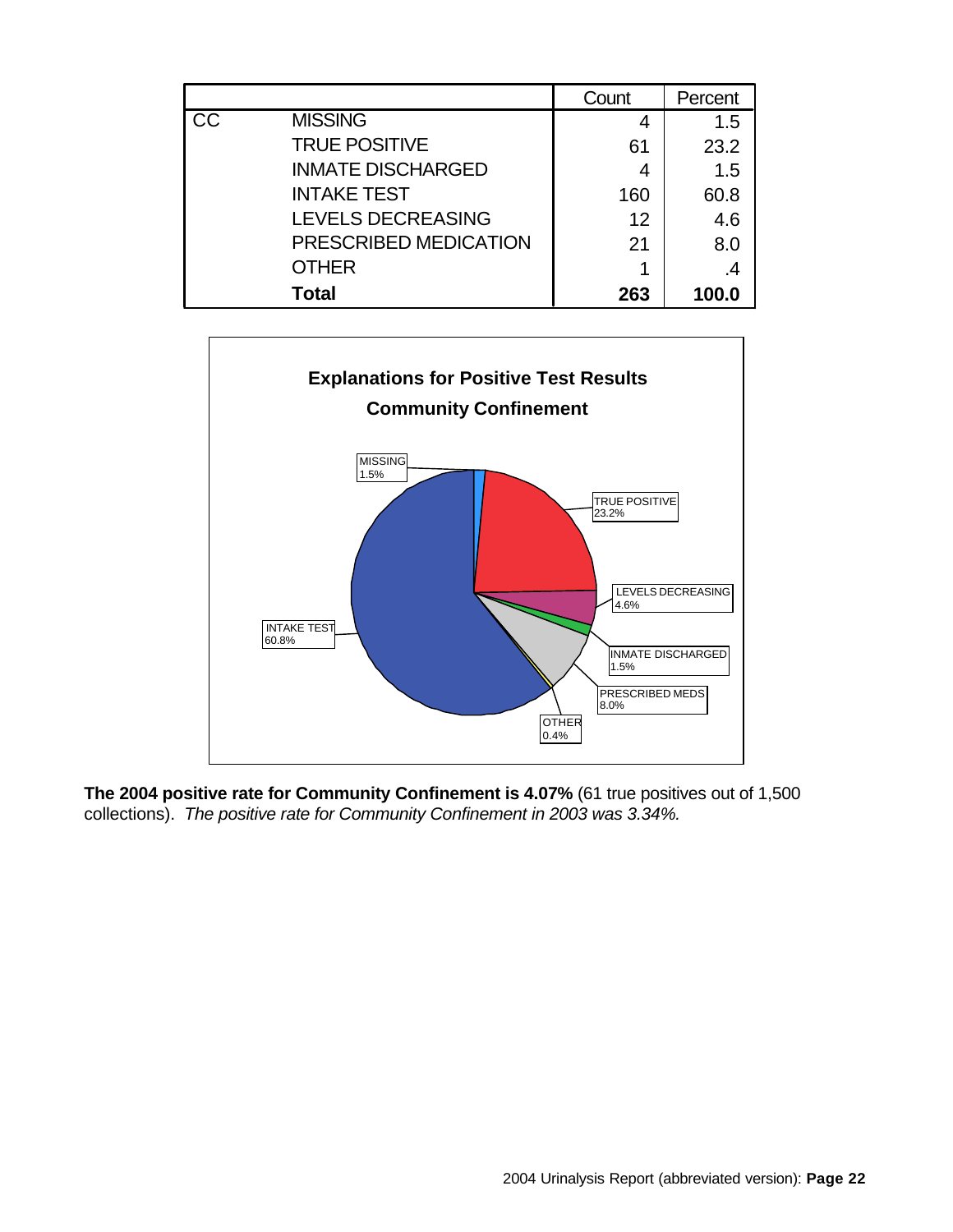|    |                          | Count | Percent |
|----|--------------------------|-------|---------|
| CC | <b>MISSING</b>           | 4     | 1.5     |
|    | <b>TRUE POSITIVE</b>     | 61    | 23.2    |
|    | <b>INMATE DISCHARGED</b> | 4     | 1.5     |
|    | <b>INTAKE TEST</b>       | 160   | 60.8    |
|    | <b>LEVELS DECREASING</b> | 12    | 4.6     |
|    | PRESCRIBED MEDICATION    | 21    | 8.0     |
|    | <b>OTHER</b>             |       |         |
|    | Total                    | 263   | 100.0   |



**The 2004 positive rate for Community Confinement is 4.07%** (61 true positives out of 1,500 collections). *The positive rate for Community Confinement in 2003 was 3.34%.*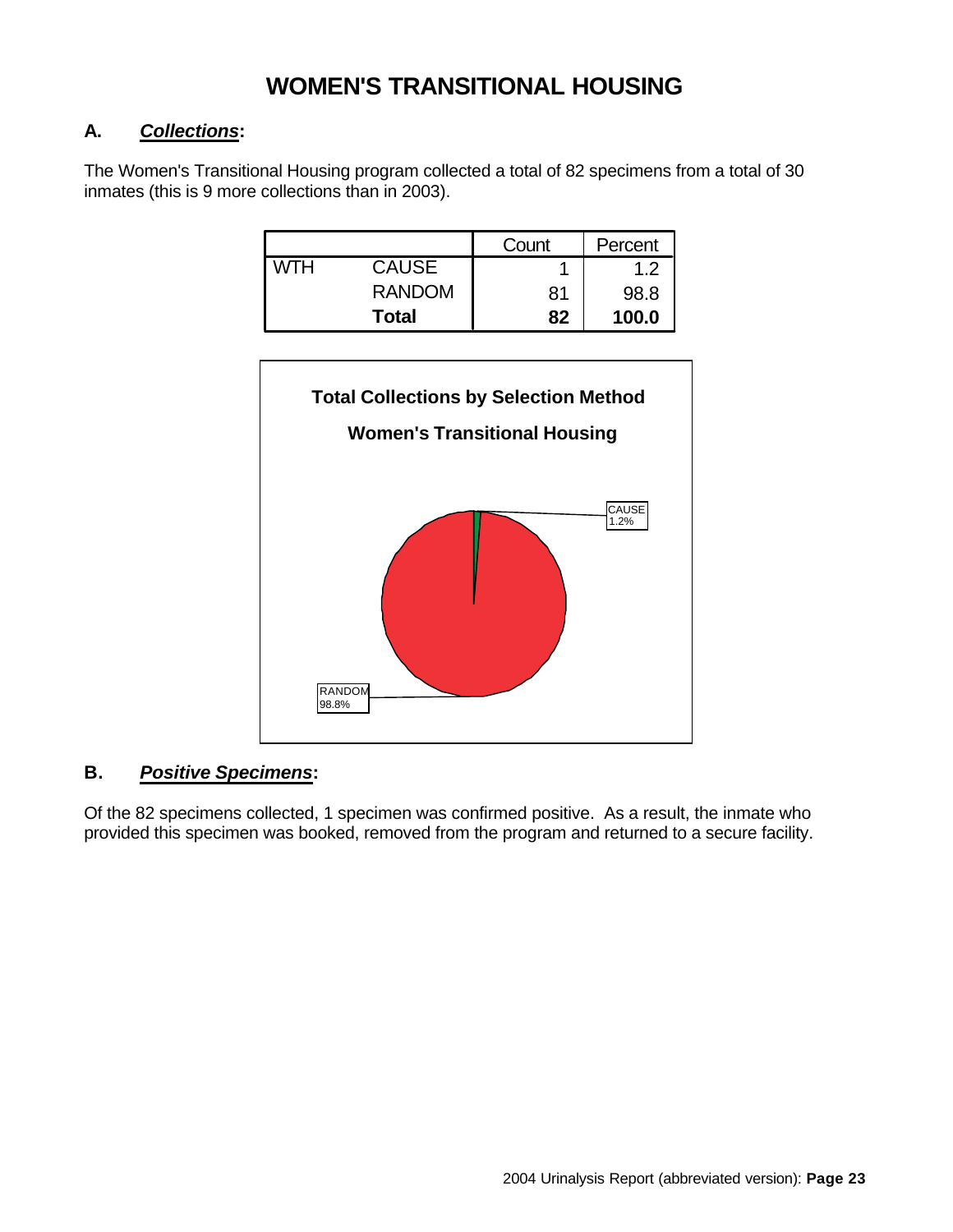### **WOMEN'S TRANSITIONAL HOUSING**

#### **A.** *Collections***:**

The Women's Transitional Housing program collected a total of 82 specimens from a total of 30 inmates (this is 9 more collections than in 2003).

|     |               | Count | Percent |
|-----|---------------|-------|---------|
| мтн | <b>CAUSE</b>  |       | 1.2     |
|     | <b>RANDOM</b> | 81    | 98.8    |
|     | Total         | 82    | 100.0   |



### **B.** *Positive Specimens***:**

Of the 82 specimens collected, 1 specimen was confirmed positive. As a result, the inmate who provided this specimen was booked, removed from the program and returned to a secure facility.